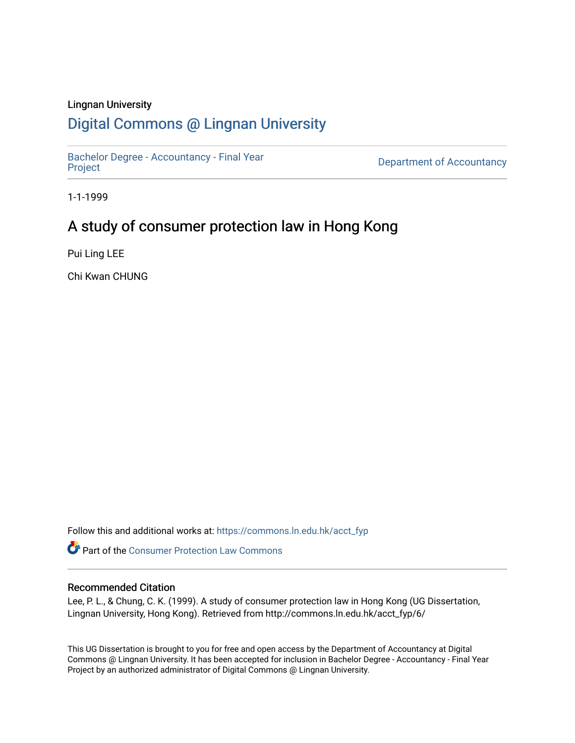#### Lingnan University

## [Digital Commons @ Lingnan University](https://commons.ln.edu.hk/)

[Bachelor Degree - Accountancy - Final Year](https://commons.ln.edu.hk/acct_fyp) 

Department of Accountancy

1-1-1999

## A study of consumer protection law in Hong Kong

Pui Ling LEE

Chi Kwan CHUNG

Follow this and additional works at: [https://commons.ln.edu.hk/acct\\_fyp](https://commons.ln.edu.hk/acct_fyp?utm_source=commons.ln.edu.hk%2Facct_fyp%2F6&utm_medium=PDF&utm_campaign=PDFCoverPages) 

**C** Part of the Consumer Protection Law Commons

#### Recommended Citation

Lee, P. L., & Chung, C. K. (1999). A study of consumer protection law in Hong Kong (UG Dissertation, Lingnan University, Hong Kong). Retrieved from http://commons.ln.edu.hk/acct\_fyp/6/

This UG Dissertation is brought to you for free and open access by the Department of Accountancy at Digital Commons @ Lingnan University. It has been accepted for inclusion in Bachelor Degree - Accountancy - Final Year Project by an authorized administrator of Digital Commons @ Lingnan University.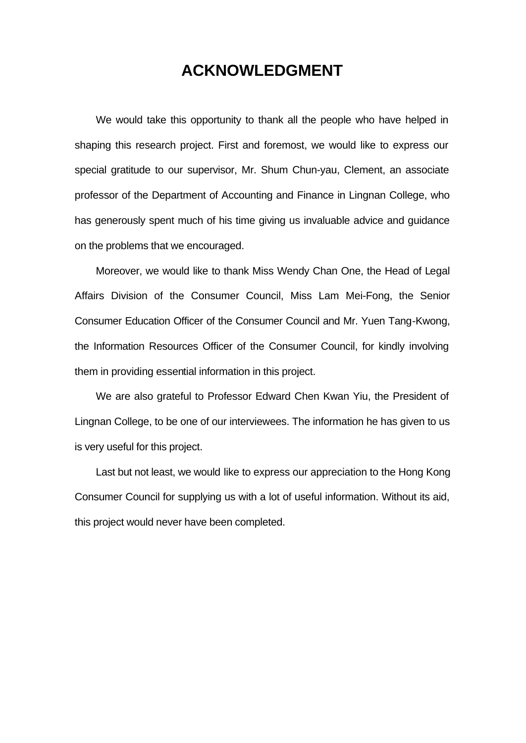## **ACKNOWLEDGMENT**

We would take this opportunity to thank all the people who have helped in shaping this research project. First and foremost, we would like to express our special gratitude to our supervisor, Mr. Shum Chun-yau, Clement, an associate professor of the Department of Accounting and Finance in Lingnan College, who has generously spent much of his time giving us invaluable advice and guidance on the problems that we encouraged.

Moreover, we would like to thank Miss Wendy Chan One, the Head of Legal Affairs Division of the Consumer Council, Miss Lam Mei-Fong, the Senior Consumer Education Officer of the Consumer Council and Mr. Yuen Tang-Kwong, the Information Resources Officer of the Consumer Council, for kindly involving them in providing essential information in this project.

We are also grateful to Professor Edward Chen Kwan Yiu, the President of Lingnan College, to be one of our interviewees. The information he has given to us is very useful for this project.

Last but not least, we would like to express our appreciation to the Hong Kong Consumer Council for supplying us with a lot of useful information. Without its aid, this project would never have been completed.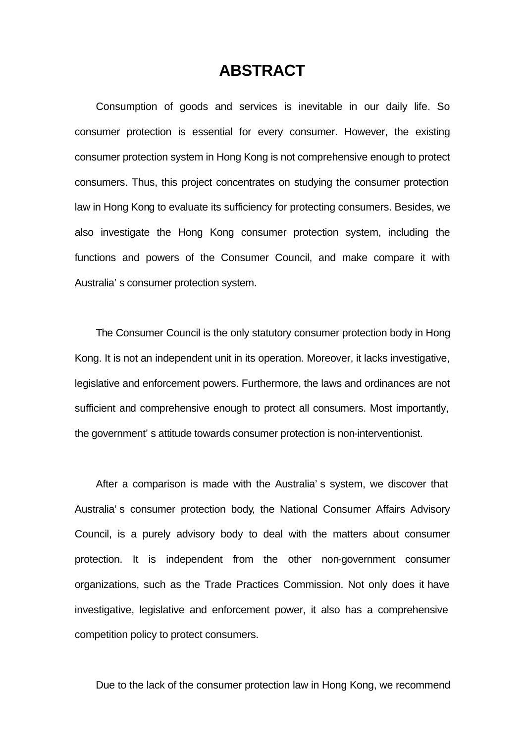## **ABSTRACT**

Consumption of goods and services is inevitable in our daily life. So consumer protection is essential for every consumer. However, the existing consumer protection system in Hong Kong is not comprehensive enough to protect consumers. Thus, this project concentrates on studying the consumer protection law in Hong Kong to evaluate its sufficiency for protecting consumers. Besides, we also investigate the Hong Kong consumer protection system, including the functions and powers of the Consumer Council, and make compare it with Australia's consumer protection system.

The Consumer Council is the only statutory consumer protection body in Hong Kong. It is not an independent unit in its operation. Moreover, it lacks investigative, legislative and enforcement powers. Furthermore, the laws and ordinances are not sufficient and comprehensive enough to protect all consumers. Most importantly, the government's attitude towards consumer protection is non-interventionist.

After a comparison is made with the Australia's system, we discover that Australia's consumer protection body, the National Consumer Affairs Advisory Council, is a purely advisory body to deal with the matters about consumer protection. It is independent from the other non-government consumer organizations, such as the Trade Practices Commission. Not only does it have investigative, legislative and enforcement power, it also has a comprehensive competition policy to protect consumers.

Due to the lack of the consumer protection law in Hong Kong, we recommend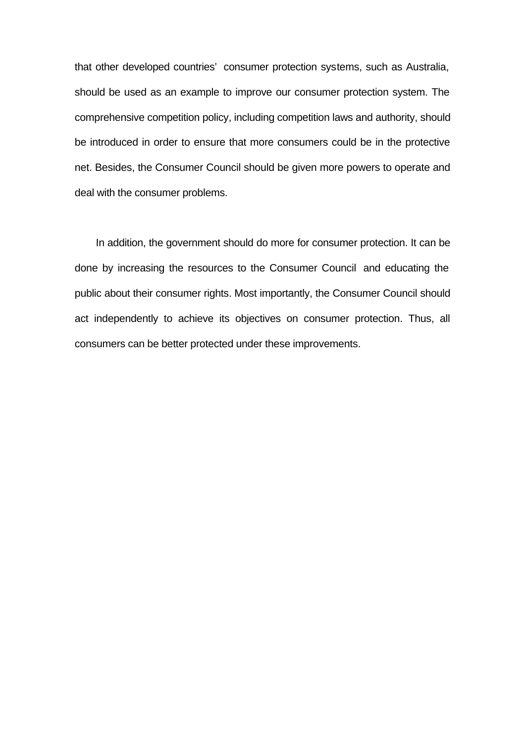that other developed countries' consumer protection systems, such as Australia, should be used as an example to improve our consumer protection system. The comprehensive competition policy, including competition laws and authority, should be introduced in order to ensure that more consumers could be in the protective net. Besides, the Consumer Council should be given more powers to operate and deal with the consumer problems.

In addition, the government should do more for consumer protection. It can be done by increasing the resources to the Consumer Council and educating the public about their consumer rights. Most importantly, the Consumer Council should act independently to achieve its objectives on consumer protection. Thus, all consumers can be better protected under these improvements.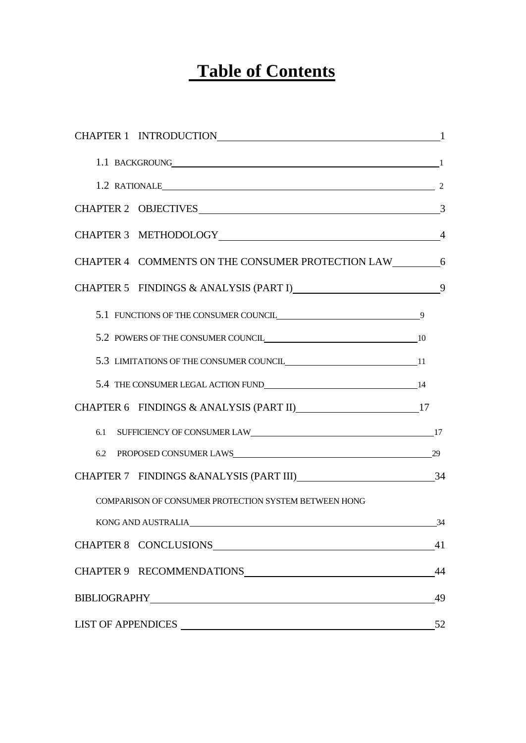# **Table of Contents**

|     | CHAPTER 1 INTRODUCTION 1                                                           |    |
|-----|------------------------------------------------------------------------------------|----|
|     | 1.1 BACKGROUNG 1                                                                   |    |
|     | 1.2 RATIONALE 2                                                                    |    |
|     | CHAPTER 2 OBJECTIVES 3                                                             |    |
|     | CHAPTER 3 METHODOLOGY 4                                                            |    |
|     | CHAPTER 4 COMMENTS ON THE CONSUMER PROTECTION LAW_________________________________ |    |
|     | CHAPTER 5 FINDINGS & ANALYSIS (PART I) 9                                           |    |
|     | 5.1 FUNCTIONS OF THE CONSUMER COUNCIL                                              |    |
|     | 5.2 POWERS OF THE CONSUMER COUNCILLATION CONTROL COUNTRY TO A 10                   |    |
|     | 5.3 LIMITATIONS OF THE CONSUMER COUNCILLATION AND THE CONSUMER COUNCIL             |    |
|     | 5.4 THE CONSUMER LEGAL ACTION FUND<br>14                                           |    |
|     | CHAPTER 6 FINDINGS & ANALYSIS (PART II) 17                                         |    |
| 6.1 | SUFFICIENCY OF CONSUMER LAW<br>17                                                  |    |
| 6.2 |                                                                                    |    |
|     | CHAPTER 7 FINDINGS & ANALYSIS (PART III) 34                                        |    |
|     | <b>COMPARISON OF CONSUMER PROTECTION SYSTEM BETWEEN HONG</b>                       |    |
|     | KONG AND AUSTRALIA                                                                 | 34 |
|     | CHAPTER 8 CONCLUSIONS 41                                                           |    |
|     | CHAPTER 9 RECOMMENDATIONS 44                                                       |    |
|     |                                                                                    | 49 |
|     | LIST OF APPENDICES 52                                                              |    |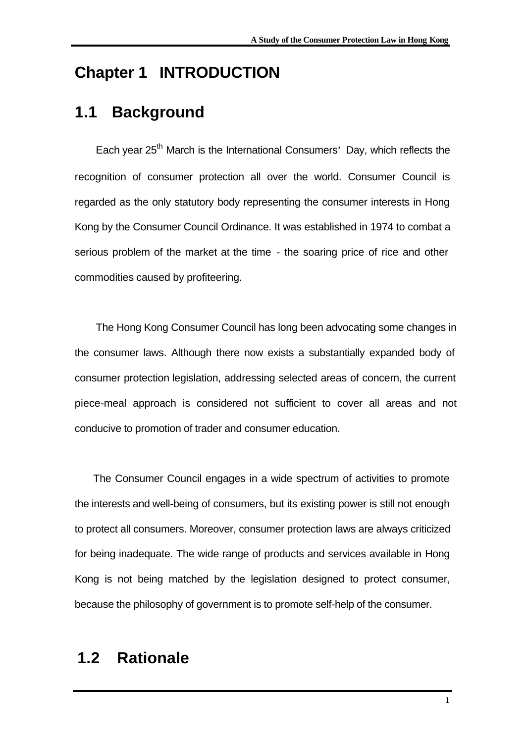## **Chapter 1 INTRODUCTION**

## **1.1 Background**

Each year 25<sup>th</sup> March is the International Consumers' Day, which reflects the recognition of consumer protection all over the world. Consumer Council is regarded as the only statutory body representing the consumer interests in Hong Kong by the Consumer Council Ordinance. It was established in 1974 to combat a serious problem of the market at the time - the soaring price of rice and other commodities caused by profiteering.

The Hong Kong Consumer Council has long been advocating some changes in the consumer laws. Although there now exists a substantially expanded body of consumer protection legislation, addressing selected areas of concern, the current piece-meal approach is considered not sufficient to cover all areas and not conducive to promotion of trader and consumer education.

The Consumer Council engages in a wide spectrum of activities to promote the interests and well-being of consumers, but its existing power is still not enough to protect all consumers. Moreover, consumer protection laws are always criticized for being inadequate. The wide range of products and services available in Hong Kong is not being matched by the legislation designed to protect consumer, because the philosophy of government is to promote self-help of the consumer.

## **1.2 Rationale**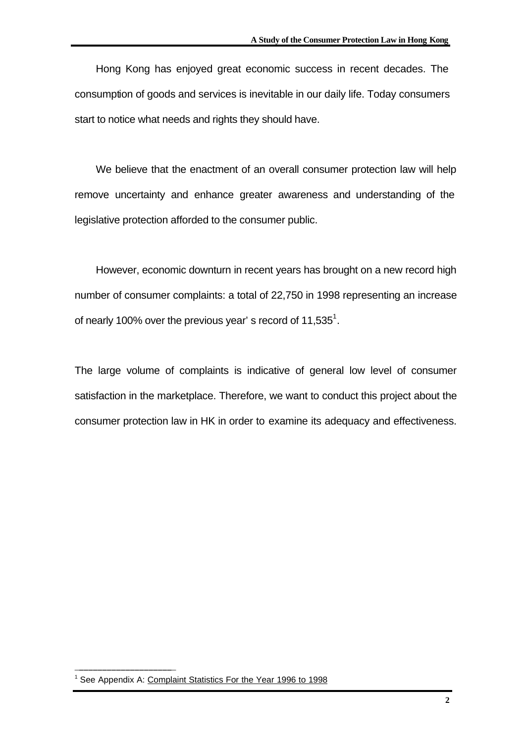Hong Kong has enjoyed great economic success in recent decades. The consumption of goods and services is inevitable in our daily life. Today consumers start to notice what needs and rights they should have.

We believe that the enactment of an overall consumer protection law will help remove uncertainty and enhance greater awareness and understanding of the legislative protection afforded to the consumer public.

However, economic downturn in recent years has brought on a new record high number of consumer complaints: a total of 22,750 in 1998 representing an increase of nearly 100% over the previous year's record of 11,535<sup>1</sup>.

The large volume of complaints is indicative of general low level of consumer satisfaction in the marketplace. Therefore, we want to conduct this project about the consumer protection law in HK in order to examine its adequacy and effectiveness.

<sup>&</sup>lt;sup>1</sup> See Appendix A: Complaint Statistics For the Year 1996 to 1998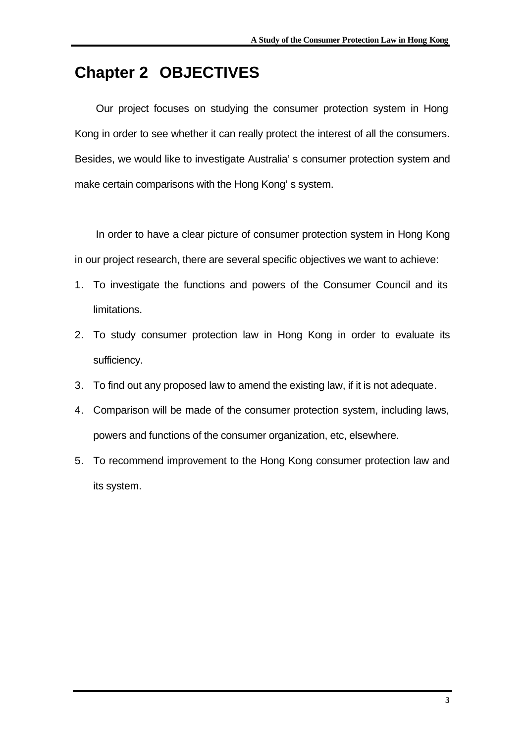## **Chapter 2 OBJECTIVES**

Our project focuses on studying the consumer protection system in Hong Kong in order to see whether it can really protect the interest of all the consumers. Besides, we would like to investigate Australia's consumer protection system and make certain comparisons with the Hong Kong's system.

In order to have a clear picture of consumer protection system in Hong Kong in our project research, there are several specific objectives we want to achieve:

- 1. To investigate the functions and powers of the Consumer Council and its limitations.
- 2. To study consumer protection law in Hong Kong in order to evaluate its sufficiency.
- 3. To find out any proposed law to amend the existing law, if it is not adequate.
- 4. Comparison will be made of the consumer protection system, including laws, powers and functions of the consumer organization, etc, elsewhere.
- 5. To recommend improvement to the Hong Kong consumer protection law and its system.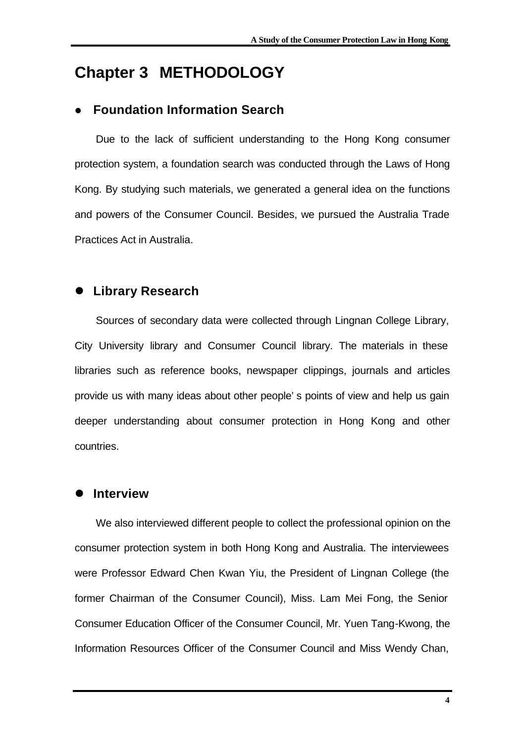## **Chapter 3 METHODOLOGY**

## l **Foundation Information Search**

Due to the lack of sufficient understanding to the Hong Kong consumer protection system, a foundation search was conducted through the Laws of Hong Kong. By studying such materials, we generated a general idea on the functions and powers of the Consumer Council. Besides, we pursued the Australia Trade Practices Act in Australia.

## $\bullet$  Library Research

Sources of secondary data were collected through Lingnan College Library, City University library and Consumer Council library. The materials in these libraries such as reference books, newspaper clippings, journals and articles provide us with many ideas about other people's points of view and help us gain deeper understanding about consumer protection in Hong Kong and other countries.

## l **Interview**

We also interviewed different people to collect the professional opinion on the consumer protection system in both Hong Kong and Australia. The interviewees were Professor Edward Chen Kwan Yiu, the President of Lingnan College (the former Chairman of the Consumer Council), Miss. Lam Mei Fong, the Senior Consumer Education Officer of the Consumer Council, Mr. Yuen Tang-Kwong, the Information Resources Officer of the Consumer Council and Miss Wendy Chan,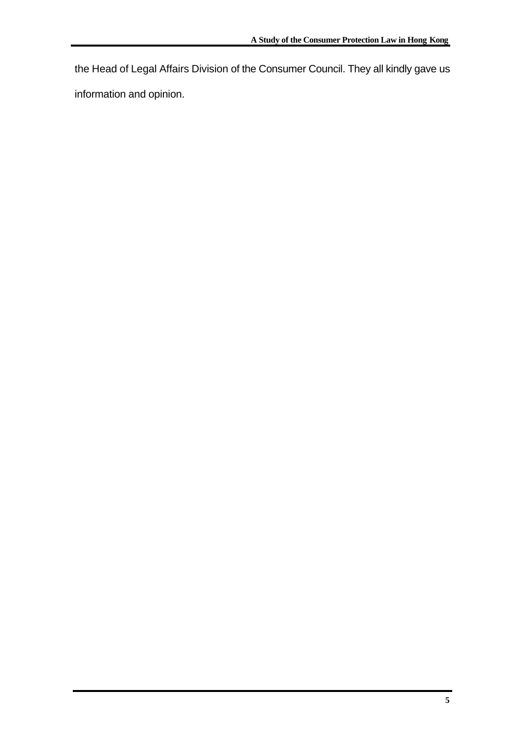the Head of Legal Affairs Division of the Consumer Council. They all kindly gave us information and opinion.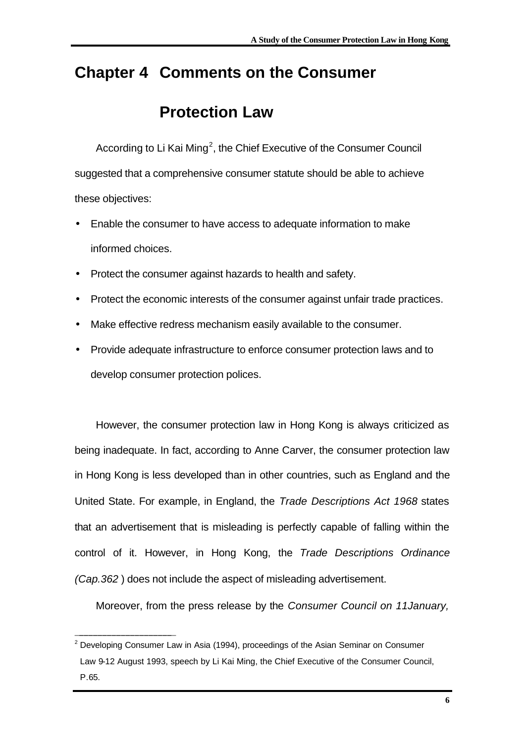## **Chapter 4 Comments on the Consumer**

## **Protection Law**

According to Li Kai Ming<sup>2</sup>, the Chief Executive of the Consumer Council suggested that a comprehensive consumer statute should be able to achieve these objectives:

- Enable the consumer to have access to adequate information to make informed choices.
- Protect the consumer against hazards to health and safety.
- Protect the economic interests of the consumer against unfair trade practices.
- Make effective redress mechanism easily available to the consumer.
- Provide adequate infrastructure to enforce consumer protection laws and to develop consumer protection polices.

However, the consumer protection law in Hong Kong is always criticized as being inadequate. In fact, according to Anne Carver, the consumer protection law in Hong Kong is less developed than in other countries, such as England and the United State. For example, in England, the *Trade Descriptions Act 1968* states that an advertisement that is misleading is perfectly capable of falling within the control of it. However, in Hong Kong, the *Trade Descriptions Ordinance (Cap.362* ) does not include the aspect of misleading advertisement.

Moreover, from the press release by the *Consumer Council on 11January,* 

<sup>&</sup>lt;sup>2</sup> Developing Consumer Law in Asia (1994), proceedings of the Asian Seminar on Consumer Law 9-12 August 1993, speech by Li Kai Ming, the Chief Executive of the Consumer Council, P.65.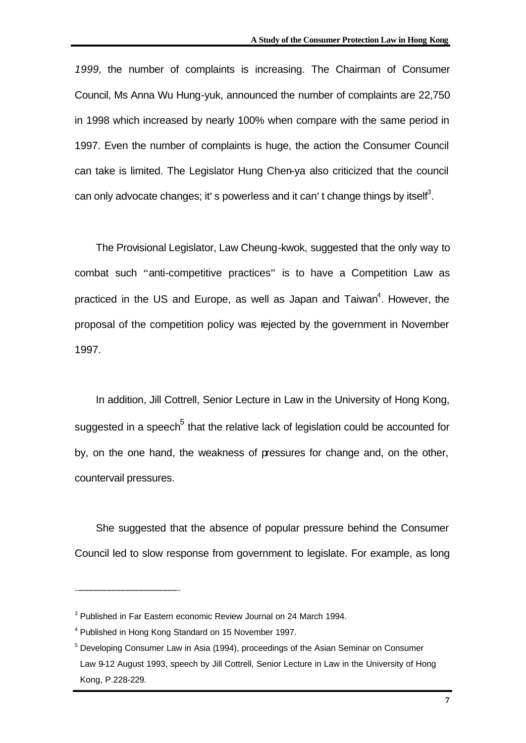*1999,* the number of complaints is increasing. The Chairman of Consumer Council, Ms Anna Wu Hung-yuk, announced the number of complaints are 22,750 in 1998 which increased by nearly 100% when compare with the same period in 1997. Even the number of complaints is huge, the action the Consumer Council can take is limited. The Legislator Hung Chen-ya also criticized that the council can only advocate changes; it's powerless and it can't change things by itself<sup>3</sup>.

The Provisional Legislator, Law Cheung-kwok, suggested that the only way to combat such "anti-competitive practices" is to have a Competition Law as practiced in the US and Europe, as well as Japan and Taiwan<sup>4</sup>. However, the proposal of the competition policy was rejected by the government in November 1997.

In addition, Jill Cottrell, Senior Lecture in Law in the University of Hong Kong, suggested in a speech<sup>5</sup> that the relative lack of legislation could be accounted for by, on the one hand, the weakness of pressures for change and, on the other, countervail pressures.

She suggested that the absence of popular pressure behind the Consumer Council led to slow response from government to legislate. For example, as long

<sup>&</sup>lt;sup>3</sup> Published in Far Eastern economic Review Journal on 24 March 1994.

<sup>&</sup>lt;sup>4</sup> Published in Hong Kong Standard on 15 November 1997.

<sup>&</sup>lt;sup>5</sup> Developing Consumer Law in Asia (1994), proceedings of the Asian Seminar on Consumer Law 9-12 August 1993, speech by Jill Cottrell, Senior Lecture in Law in the University of Hong Kong, P.228-229.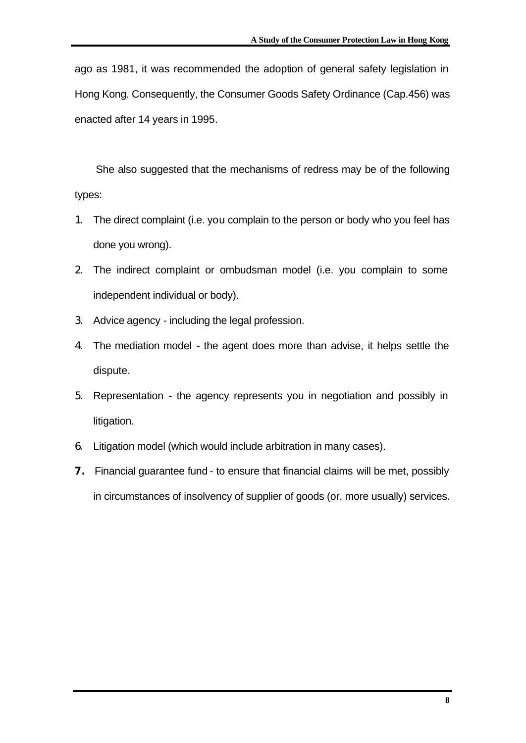ago as 1981, it was recommended the adoption of general safety legislation in Hong Kong. Consequently, the Consumer Goods Safety Ordinance (Cap.456) was enacted after 14 years in 1995.

She also suggested that the mechanisms of redress may be of the following types:

- 1. The direct complaint (i.e. you complain to the person or body who you feel has done you wrong).
- 2. The indirect complaint or ombudsman model (i.e. you complain to some independent individual or body).
- 3. Advice agency including the legal profession.
- 4. The mediation model the agent does more than advise, it helps settle the dispute.
- 5. Representation the agency represents you in negotiation and possibly in litigation.
- 6. Litigation model (which would include arbitration in many cases).
- 7. Financial guarantee fund to ensure that financial claims will be met, possibly in circumstances of insolvency of supplier of goods (or, more usually) services.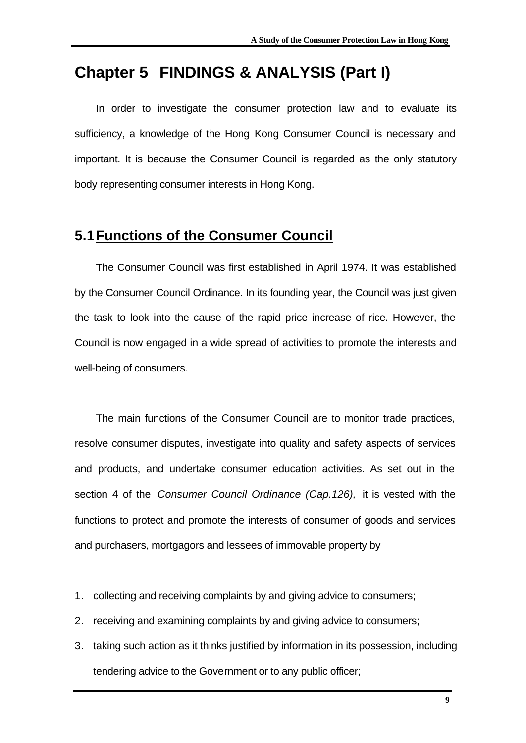## **Chapter 5 FINDINGS & ANALYSIS (Part I)**

In order to investigate the consumer protection law and to evaluate its sufficiency, a knowledge of the Hong Kong Consumer Council is necessary and important. It is because the Consumer Council is regarded as the only statutory body representing consumer interests in Hong Kong.

## **5.1Functions of the Consumer Council**

The Consumer Council was first established in April 1974. It was established by the Consumer Council Ordinance. In its founding year, the Council was just given the task to look into the cause of the rapid price increase of rice. However, the Council is now engaged in a wide spread of activities to promote the interests and well-being of consumers.

The main functions of the Consumer Council are to monitor trade practices, resolve consumer disputes, investigate into quality and safety aspects of services and products, and undertake consumer education activities. As set out in the section 4 of the *Consumer Council Ordinance (Cap.126),* it is vested with the functions to protect and promote the interests of consumer of goods and services and purchasers, mortgagors and lessees of immovable property by

- 1. collecting and receiving complaints by and giving advice to consumers;
- 2. receiving and examining complaints by and giving advice to consumers;
- 3. taking such action as it thinks justified by information in its possession, including tendering advice to the Government or to any public officer;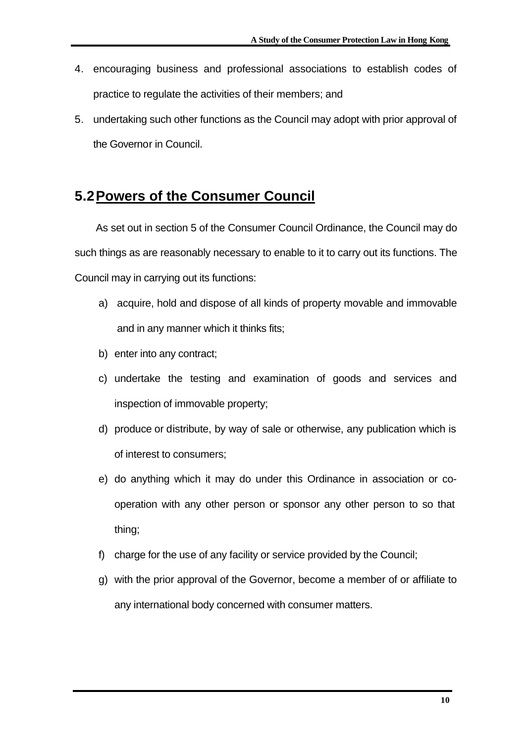- 4. encouraging business and professional associations to establish codes of practice to regulate the activities of their members; and
- 5. undertaking such other functions as the Council may adopt with prior approval of the Governor in Council.

## **5.2Powers of the Consumer Council**

As set out in section 5 of the Consumer Council Ordinance, the Council may do such things as are reasonably necessary to enable to it to carry out its functions. The Council may in carrying out its functions:

- a) acquire, hold and dispose of all kinds of property movable and immovable and in any manner which it thinks fits;
- b) enter into any contract;
- c) undertake the testing and examination of goods and services and inspection of immovable property;
- d) produce or distribute, by way of sale or otherwise, any publication which is of interest to consumers;
- e) do anything which it may do under this Ordinance in association or cooperation with any other person or sponsor any other person to so that thing;
- f) charge for the use of any facility or service provided by the Council;
- g) with the prior approval of the Governor, become a member of or affiliate to any international body concerned with consumer matters.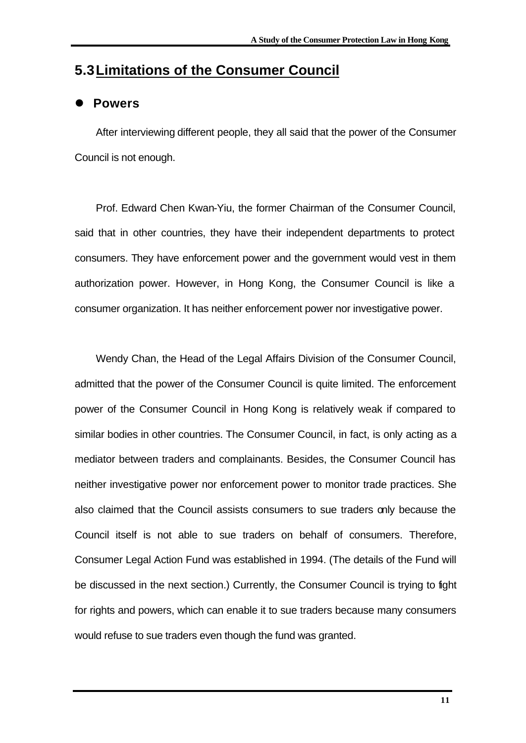## **5.3Limitations of the Consumer Council**

### l **Powers**

After interviewing different people, they all said that the power of the Consumer Council is not enough.

Prof. Edward Chen Kwan-Yiu, the former Chairman of the Consumer Council, said that in other countries, they have their independent departments to protect consumers. They have enforcement power and the government would vest in them authorization power. However, in Hong Kong, the Consumer Council is like a consumer organization. It has neither enforcement power nor investigative power.

Wendy Chan, the Head of the Legal Affairs Division of the Consumer Council, admitted that the power of the Consumer Council is quite limited. The enforcement power of the Consumer Council in Hong Kong is relatively weak if compared to similar bodies in other countries. The Consumer Council, in fact, is only acting as a mediator between traders and complainants. Besides, the Consumer Council has neither investigative power nor enforcement power to monitor trade practices. She also claimed that the Council assists consumers to sue traders only because the Council itself is not able to sue traders on behalf of consumers. Therefore, Consumer Legal Action Fund was established in 1994. (The details of the Fund will be discussed in the next section.) Currently, the Consumer Council is trying to fight for rights and powers, which can enable it to sue traders because many consumers would refuse to sue traders even though the fund was granted.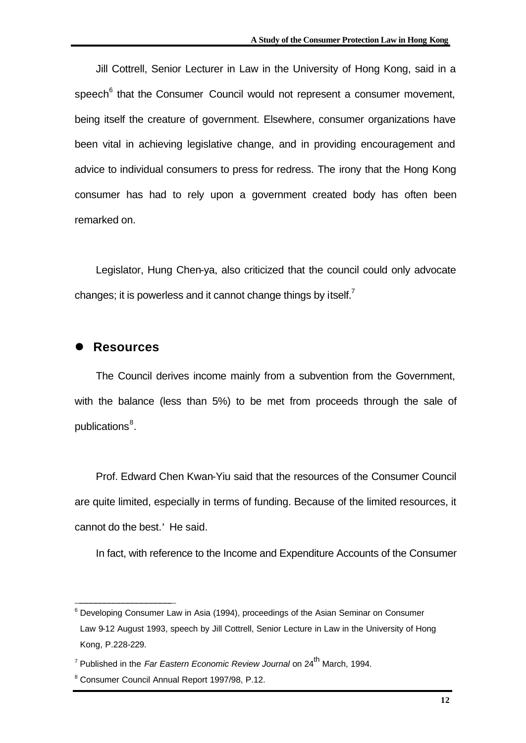Jill Cottrell, Senior Lecturer in Law in the University of Hong Kong, said in a speech<sup>6</sup> that the Consumer Council would not represent a consumer movement, being itself the creature of government. Elsewhere, consumer organizations have been vital in achieving legislative change, and in providing encouragement and advice to individual consumers to press for redress. The irony that the Hong Kong consumer has had to rely upon a government created body has often been remarked on.

Legislator, Hung Chen-ya, also criticized that the council could only advocate changes; it is powerless and it cannot change things by itself.<sup>7</sup>

### l **Resources**

—————————————————————

The Council derives income mainly from a subvention from the Government, with the balance (less than 5%) to be met from proceeds through the sale of publications<sup>8</sup>.

Prof. Edward Chen Kwan-Yiu said that the resources of the Consumer Council are quite limited, especially in terms of funding. Because of the limited resources, it cannot do the best.' He said.

In fact, with reference to the Income and Expenditure Accounts of the Consumer

<sup>&</sup>lt;sup>6</sup> Developing Consumer Law in Asia (1994), proceedings of the Asian Seminar on Consumer Law 9-12 August 1993, speech by Jill Cottrell, Senior Lecture in Law in the University of Hong Kong, P.228-229.

<sup>&</sup>lt;sup>7</sup> Published in the *Far Eastern Economic Review Journal* on 24<sup>th</sup> March, 1994.

<sup>&</sup>lt;sup>8</sup> Consumer Council Annual Report 1997/98, P.12.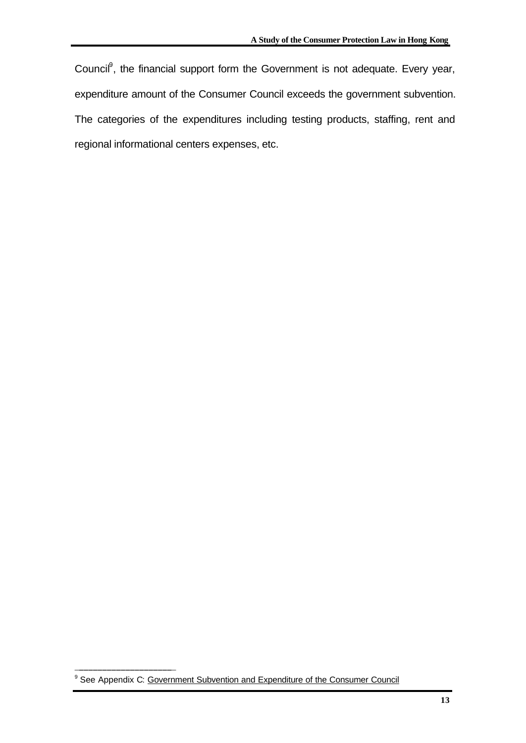Council $^\theta$ , the financial support form the Government is not adequate. Every year, expenditure amount of the Consumer Council exceeds the government subvention. The categories of the expenditures including testing products, staffing, rent and regional informational centers expenses, etc.

<sup>—————————————————————</sup> 9 See Appendix C: Government Subvention and Expenditure of the Consumer Council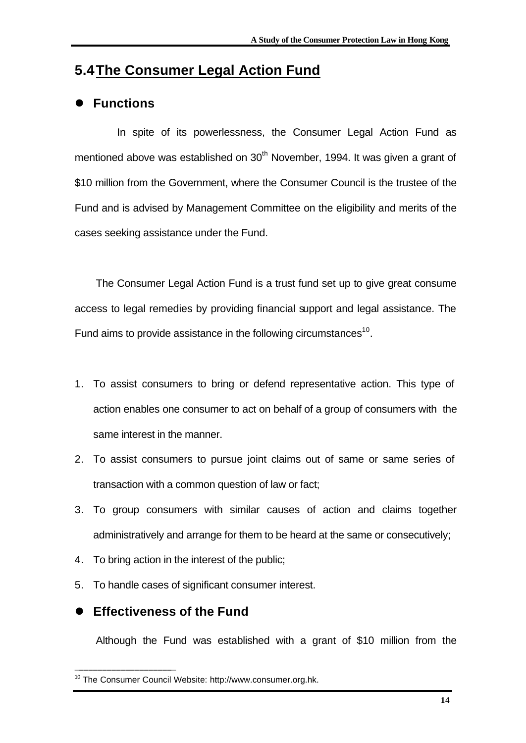## **5.4The Consumer Legal Action Fund**

## $\bullet$  Functions

In spite of its powerlessness, the Consumer Legal Action Fund as mentioned above was established on  $30<sup>th</sup>$  November, 1994. It was given a grant of \$10 million from the Government, where the Consumer Council is the trustee of the Fund and is advised by Management Committee on the eligibility and merits of the cases seeking assistance under the Fund.

The Consumer Legal Action Fund is a trust fund set up to give great consume access to legal remedies by providing financial support and legal assistance. The Fund aims to provide assistance in the following circumstances<sup>10</sup>.

- 1. To assist consumers to bring or defend representative action. This type of action enables one consumer to act on behalf of a group of consumers with the same interest in the manner.
- 2. To assist consumers to pursue joint claims out of same or same series of transaction with a common question of law or fact;
- 3. To group consumers with similar causes of action and claims together administratively and arrange for them to be heard at the same or consecutively;
- 4. To bring action in the interest of the public;
- 5. To handle cases of significant consumer interest.

## **• Effectiveness of the Fund**

—————————————————————

Although the Fund was established with a grant of \$10 million from the

<sup>&</sup>lt;sup>10</sup> The Consumer Council Website: http://www.consumer.org.hk.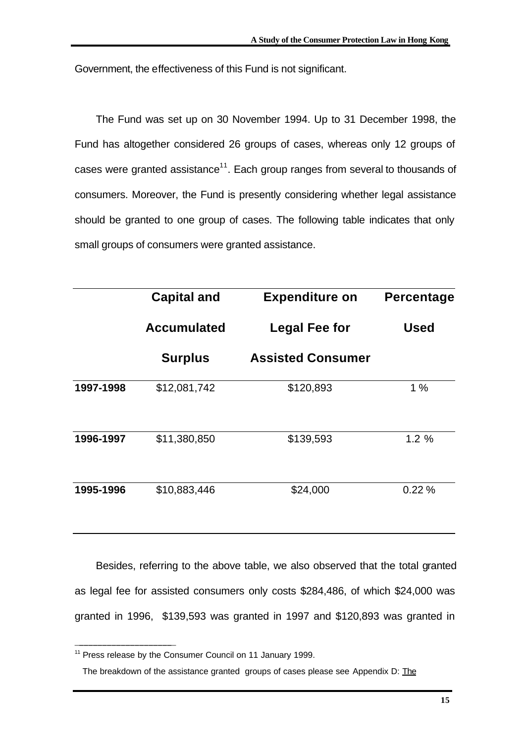Government, the effectiveness of this Fund is not significant.

The Fund was set up on 30 November 1994. Up to 31 December 1998, the Fund has altogether considered 26 groups of cases, whereas only 12 groups of cases were granted assistance<sup>11</sup>. Each group ranges from several to thousands of consumers. Moreover, the Fund is presently considering whether legal assistance should be granted to one group of cases. The following table indicates that only small groups of consumers were granted assistance.

|           | <b>Capital and</b><br><b>Accumulated</b><br><b>Surplus</b> | <b>Expenditure on</b>                            | <b>Percentage</b> |  |
|-----------|------------------------------------------------------------|--------------------------------------------------|-------------------|--|
|           |                                                            | <b>Legal Fee for</b><br><b>Assisted Consumer</b> | <b>Used</b>       |  |
|           |                                                            |                                                  |                   |  |
| 1997-1998 | \$12,081,742                                               | \$120,893                                        | 1%                |  |
| 1996-1997 | \$11,380,850                                               | \$139,593                                        | 1.2%              |  |
| 1995-1996 | \$10,883,446                                               | \$24,000                                         | 0.22%             |  |

Besides, referring to the above table, we also observed that the total granted as legal fee for assisted consumers only costs \$284,486, of which \$24,000 was granted in 1996, \$139,593 was granted in 1997 and \$120,893 was granted in

<sup>&</sup>lt;sup>11</sup> Press release by the Consumer Council on 11 January 1999.

The breakdown of the assistance granted groups of cases please see Appendix D: The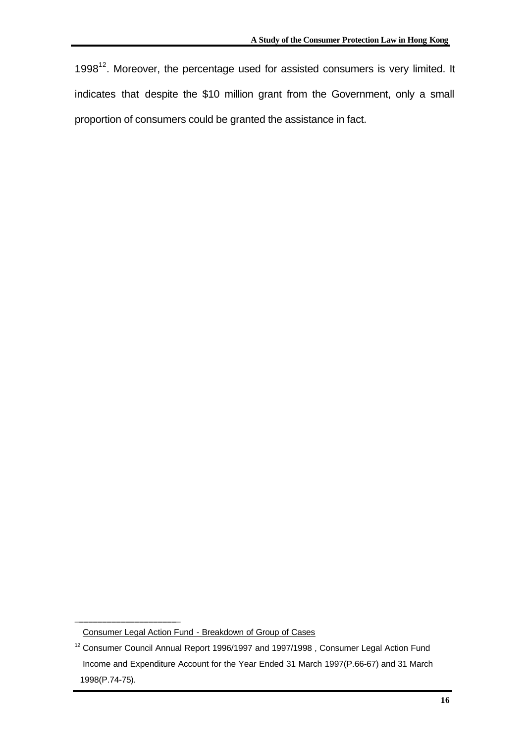1998<sup>12</sup>. Moreover, the percentage used for assisted consumers is very limited. It indicates that despite the \$10 million grant from the Government, only a small proportion of consumers could be granted the assistance in fact.

<sup>——————————————————————</sup> Consumer Legal Action Fund - Breakdown of Group of Cases

<sup>&</sup>lt;sup>12</sup> Consumer Council Annual Report 1996/1997 and 1997/1998, Consumer Legal Action Fund Income and Expenditure Account for the Year Ended 31 March 1997(P.66-67) and 31 March 1998(P.74-75).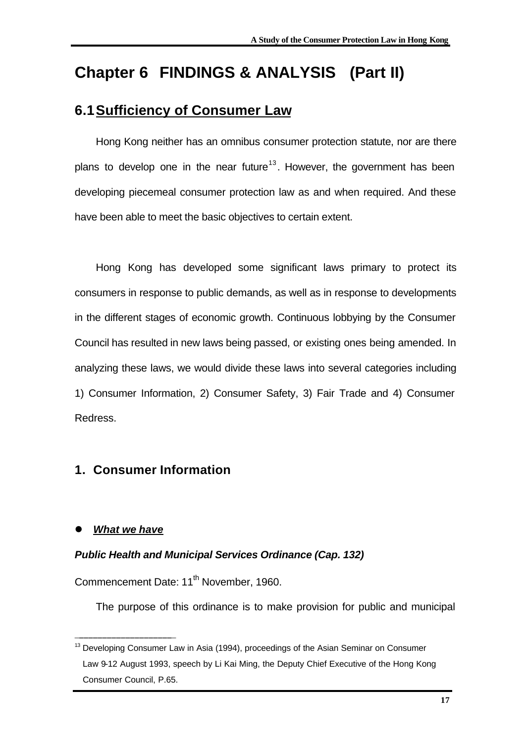## **Chapter 6 FINDINGS & ANALYSIS (Part II)**

## **6.1Sufficiency of Consumer Law**

Hong Kong neither has an omnibus consumer protection statute, nor are there plans to develop one in the near future<sup>13</sup>. However, the government has been developing piecemeal consumer protection law as and when required. And these have been able to meet the basic objectives to certain extent.

Hong Kong has developed some significant laws primary to protect its consumers in response to public demands, as well as in response to developments in the different stages of economic growth. Continuous lobbying by the Consumer Council has resulted in new laws being passed, or existing ones being amended. In analyzing these laws, we would divide these laws into several categories including 1) Consumer Information, 2) Consumer Safety, 3) Fair Trade and 4) Consumer Redress.

## **1. Consumer Information**

### **What we have**

—————————————————————

### *Public Health and Municipal Services Ordinance (Cap. 132)*

Commencement Date: 11<sup>th</sup> November, 1960.

The purpose of this ordinance is to make provision for public and municipal

<sup>&</sup>lt;sup>13</sup> Developing Consumer Law in Asia (1994), proceedings of the Asian Seminar on Consumer Law 9-12 August 1993, speech by Li Kai Ming, the Deputy Chief Executive of the Hong Kong Consumer Council, P.65.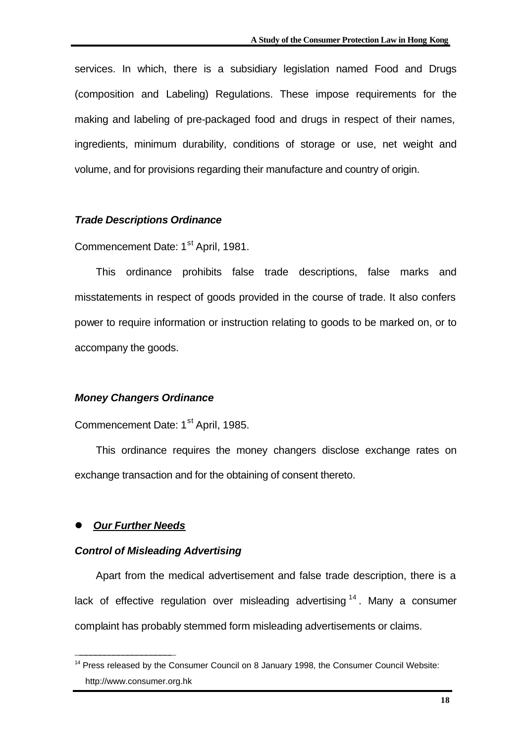services. In which, there is a subsidiary legislation named Food and Drugs (composition and Labeling) Regulations. These impose requirements for the making and labeling of pre-packaged food and drugs in respect of their names, ingredients, minimum durability, conditions of storage or use, net weight and volume, and for provisions regarding their manufacture and country of origin.

#### *Trade Descriptions Ordinance*

Commencement Date: 1<sup>st</sup> April, 1981.

This ordinance prohibits false trade descriptions, false marks and misstatements in respect of goods provided in the course of trade. It also confers power to require information or instruction relating to goods to be marked on, or to accompany the goods.

#### *Money Changers Ordinance*

Commencement Date: 1<sup>st</sup> April, 1985.

This ordinance requires the money changers disclose exchange rates on exchange transaction and for the obtaining of consent thereto.

#### **Our Further Needs**

—————————————————————

#### *Control of Misleading Advertising*

Apart from the medical advertisement and false trade description, there is a lack of effective regulation over misleading advertising  $14$ . Many a consumer complaint has probably stemmed form misleading advertisements or claims.

<sup>&</sup>lt;sup>14</sup> Press released by the Consumer Council on 8 January 1998, the Consumer Council Website: http://www.consumer.org.hk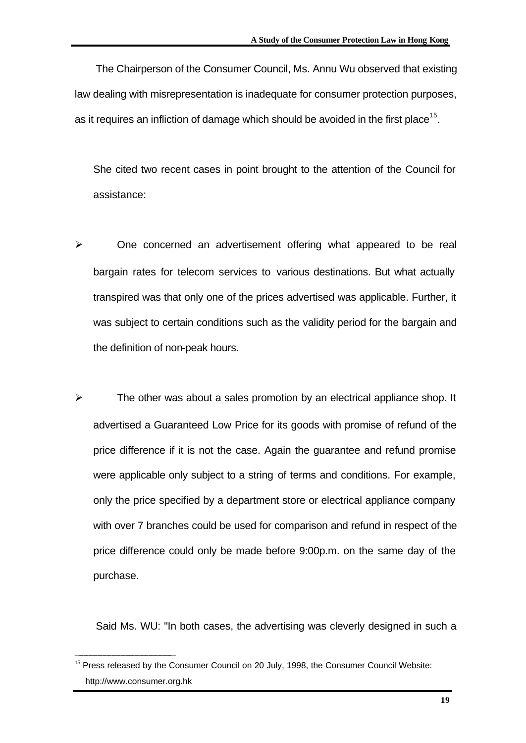The Chairperson of the Consumer Council, Ms. Annu Wu observed that existing law dealing with misrepresentation is inadequate for consumer protection purposes, as it requires an infliction of damage which should be avoided in the first place<sup>15</sup>.

She cited two recent cases in point brought to the attention of the Council for assistance:

- $\triangleright$  One concerned an advertisement offering what appeared to be real bargain rates for telecom services to various destinations. But what actually transpired was that only one of the prices advertised was applicable. Further, it was subject to certain conditions such as the validity period for the bargain and the definition of non-peak hours.
- $\triangleright$  The other was about a sales promotion by an electrical appliance shop. It advertised a Guaranteed Low Price for its goods with promise of refund of the price difference if it is not the case. Again the guarantee and refund promise were applicable only subject to a string of terms and conditions. For example, only the price specified by a department store or electrical appliance company with over 7 branches could be used for comparison and refund in respect of the price difference could only be made before 9:00p.m. on the same day of the purchase.

Said Ms. WU: "In both cases, the advertising was cleverly designed in such a

<sup>&</sup>lt;sup>15</sup> Press released by the Consumer Council on 20 July, 1998, the Consumer Council Website: http://www.consumer.org.hk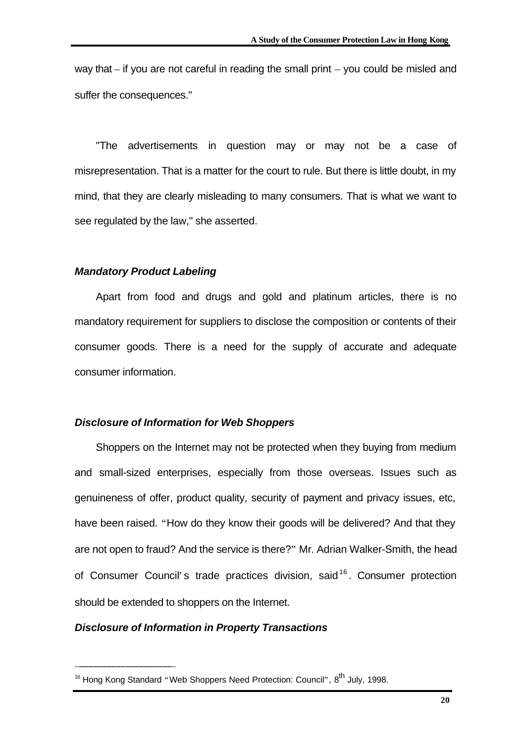way that – if you are not careful in reading the small print – you could be misled and suffer the consequences."

"The advertisements in question may or may not be a case of misrepresentation. That is a matter for the court to rule. But there is little doubt, in my mind, that they are clearly misleading to many consumers. That is what we want to see regulated by the law," she asserted.

#### *Mandatory Product Labeling*

Apart from food and drugs and gold and platinum articles, there is no mandatory requirement for suppliers to disclose the composition or contents of their consumer goods. There is a need for the supply of accurate and adequate consumer information.

#### *Disclosure of Information for Web Shoppers*

Shoppers on the Internet may not be protected when they buying from medium and small-sized enterprises, especially from those overseas. Issues such as genuineness of offer, product quality, security of payment and privacy issues, etc, have been raised. "How do they know their goods will be delivered? And that they are not open to fraud? And the service is there?" Mr. Adrian Walker-Smith, the head of Consumer Council's trade practices division, said<sup>16</sup>. Consumer protection should be extended to shoppers on the Internet.

#### *Disclosure of Information in Property Transactions*

<sup>&</sup>lt;sup>16</sup> Hong Kong Standard "Web Shoppers Need Protection: Council", 8<sup>th</sup> July, 1998.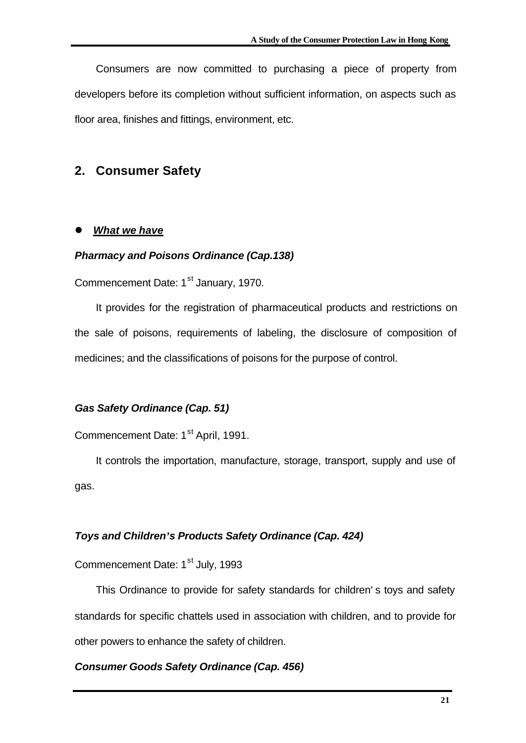Consumers are now committed to purchasing a piece of property from developers before its completion without sufficient information, on aspects such as floor area, finishes and fittings, environment, etc.

## **2. Consumer Safety**

### **What we have**

#### *Pharmacy and Poisons Ordinance (Cap.138)*

Commencement Date: 1<sup>st</sup> January, 1970.

It provides for the registration of pharmaceutical products and restrictions on the sale of poisons, requirements of labeling, the disclosure of composition of medicines; and the classifications of poisons for the purpose of control.

#### *Gas Safety Ordinance (Cap. 51)*

Commencement Date: 1<sup>st</sup> April, 1991.

It controls the importation, manufacture, storage, transport, supply and use of gas.

## *Toys and Children's Products Safety Ordinance (Cap. 424)*

Commencement Date: 1<sup>st</sup> July, 1993

This Ordinance to provide for safety standards for children's toys and safety standards for specific chattels used in association with children, and to provide for other powers to enhance the safety of children.

#### *Consumer Goods Safety Ordinance (Cap. 456)*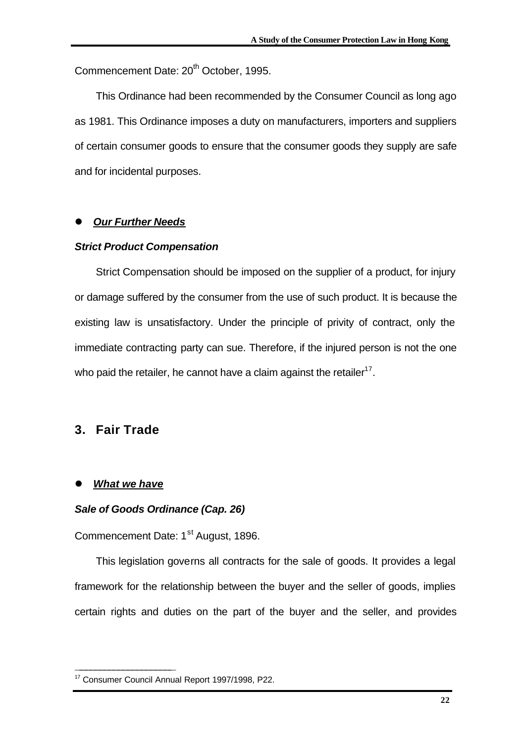Commencement Date: 20<sup>th</sup> October, 1995.

This Ordinance had been recommended by the Consumer Council as long ago as 1981. This Ordinance imposes a duty on manufacturers, importers and suppliers of certain consumer goods to ensure that the consumer goods they supply are safe and for incidental purposes.

### **Our Further Needs**

#### *Strict Product Compensation*

Strict Compensation should be imposed on the supplier of a product, for injury or damage suffered by the consumer from the use of such product. It is because the existing law is unsatisfactory. Under the principle of privity of contract, only the immediate contracting party can sue. Therefore, if the injured person is not the one who paid the retailer, he cannot have a claim against the retailer<sup>17</sup>.

## **3. Fair Trade**

#### **What we have**

—————————————————————

### *Sale of Goods Ordinance (Cap. 26)*

Commencement Date: 1<sup>st</sup> August, 1896.

This legislation governs all contracts for the sale of goods. It provides a legal framework for the relationship between the buyer and the seller of goods, implies certain rights and duties on the part of the buyer and the seller, and provides

<sup>17</sup> Consumer Council Annual Report 1997/1998, P22.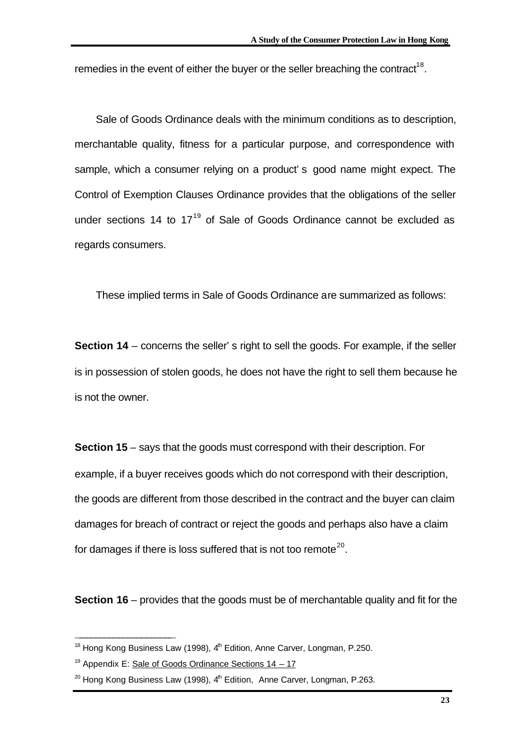remedies in the event of either the buyer or the seller breaching the contract<sup>18</sup>.

Sale of Goods Ordinance deals with the minimum conditions as to description, merchantable quality, fitness for a particular purpose, and correspondence with sample, which a consumer relying on a product's good name might expect. The Control of Exemption Clauses Ordinance provides that the obligations of the seller under sections 14 to  $17^{19}$  of Sale of Goods Ordinance cannot be excluded as regards consumers.

These implied terms in Sale of Goods Ordinance are summarized as follows:

**Section 14** – concerns the seller's right to sell the goods. For example, if the seller is in possession of stolen goods, he does not have the right to sell them because he is not the owner.

**Section 15** – says that the goods must correspond with their description. For example, if a buyer receives goods which do not correspond with their description, the goods are different from those described in the contract and the buyer can claim damages for breach of contract or reject the goods and perhaps also have a claim for damages if there is loss suffered that is not too remote<sup>20</sup>.

**Section 16** – provides that the goods must be of merchantable quality and fit for the

 $18$  Hong Kong Business Law (1998),  $4<sup>th</sup>$  Edition, Anne Carver, Longman, P.250.

<sup>&</sup>lt;sup>19</sup> Appendix E: Sale of Goods Ordinance Sections  $14 - 17$ 

 $20$  Hong Kong Business Law (1998),  $4<sup>th</sup>$  Edition, Anne Carver, Longman, P.263.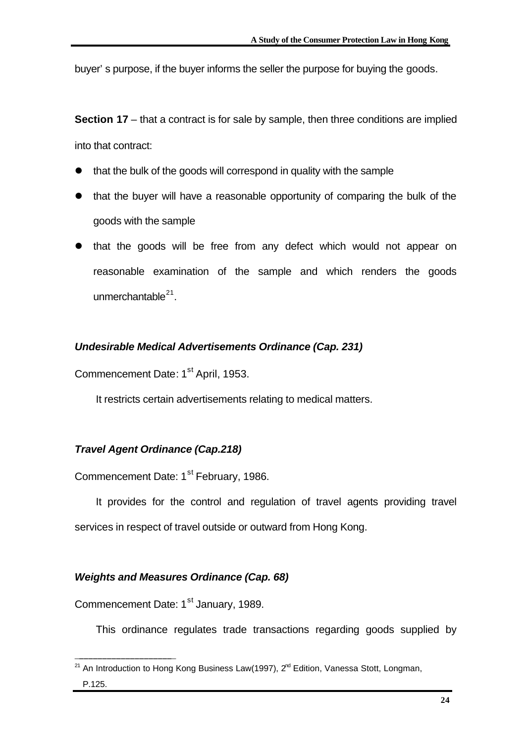buyer's purpose, if the buyer informs the seller the purpose for buying the goods.

**Section 17** – that a contract is for sale by sample, then three conditions are implied into that contract:

- that the bulk of the goods will correspond in quality with the sample
- that the buyer will have a reasonable opportunity of comparing the bulk of the goods with the sample
- that the goods will be free from any defect which would not appear on reasonable examination of the sample and which renders the goods unmerchantable<sup>21</sup>.

## *Undesirable Medical Advertisements Ordinance (Cap. 231)*

Commencement Date: 1<sup>st</sup> April, 1953.

It restricts certain advertisements relating to medical matters.

## *Travel Agent Ordinance (Cap.218)*

Commencement Date: 1<sup>st</sup> February, 1986.

It provides for the control and regulation of travel agents providing travel services in respect of travel outside or outward from Hong Kong.

## *Weights and Measures Ordinance (Cap. 68)*

Commencement Date: 1<sup>st</sup> January, 1989.

—————————————————————

This ordinance regulates trade transactions regarding goods supplied by

<sup>&</sup>lt;sup>21</sup> An Introduction to Hong Kong Business Law(1997), 2<sup>nd</sup> Edition, Vanessa Stott, Longman, P.125.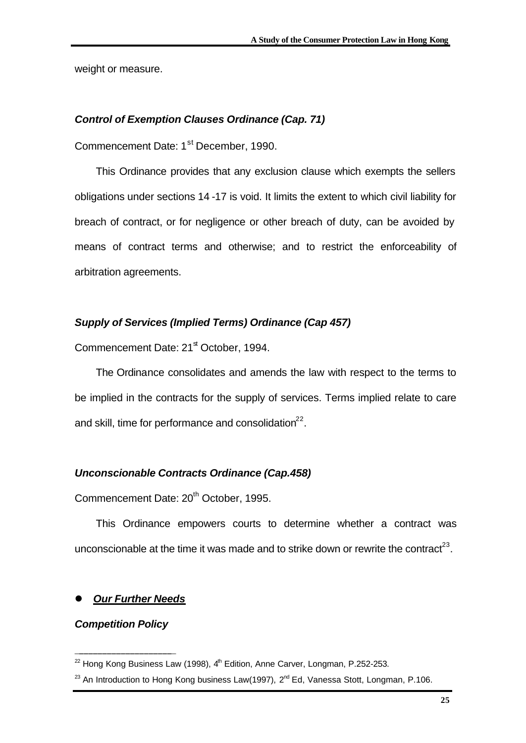weight or measure.

#### *Control of Exemption Clauses Ordinance (Cap. 71)*

Commencement Date: 1<sup>st</sup> December, 1990.

This Ordinance provides that any exclusion clause which exempts the sellers obligations under sections 14 -17 is void. It limits the extent to which civil liability for breach of contract, or for negligence or other breach of duty, can be avoided by means of contract terms and otherwise; and to restrict the enforceability of arbitration agreements.

#### *Supply of Services (Implied Terms) Ordinance (Cap 457)*

Commencement Date: 21<sup>st</sup> October, 1994.

The Ordinance consolidates and amends the law with respect to the terms to be implied in the contracts for the supply of services. Terms implied relate to care and skill, time for performance and consolidation $^{22}$ .

#### *Unconscionable Contracts Ordinance (Cap.458)*

Commencement Date: 20<sup>th</sup> October, 1995.

This Ordinance empowers courts to determine whether a contract was unconscionable at the time it was made and to strike down or rewrite the contract<sup>23</sup>.

#### **Our Further Needs**

### *Competition Policy*

 $^{22}$  Hong Kong Business Law (1998),  $4^{\text{th}}$  Edition, Anne Carver, Longman, P.252-253.

 $23$  An Introduction to Hong Kong business Law(1997),  $2^{nd}$  Ed, Vanessa Stott, Longman, P.106.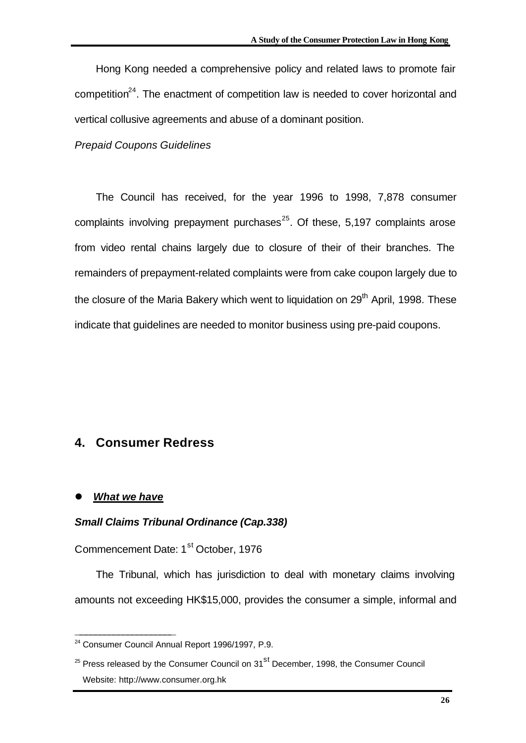Hong Kong needed a comprehensive policy and related laws to promote fair competition $24$ . The enactment of competition law is needed to cover horizontal and vertical collusive agreements and abuse of a dominant position.

*Prepaid Coupons Guidelines*

The Council has received, for the year 1996 to 1998, 7,878 consumer complaints involving prepayment purchases $25$ . Of these, 5,197 complaints arose from video rental chains largely due to closure of their of their branches. The remainders of prepayment-related complaints were from cake coupon largely due to the closure of the Maria Bakery which went to liquidation on  $29<sup>th</sup>$  April, 1998. These indicate that guidelines are needed to monitor business using pre-paid coupons.

## **4. Consumer Redress**

#### l *What we have*

—————————————————————

### *Small Claims Tribunal Ordinance (Cap.338)*

Commencement Date: 1<sup>st</sup> October, 1976

The Tribunal, which has jurisdiction to deal with monetary claims involving amounts not exceeding HK\$15,000, provides the consumer a simple, informal and

<sup>&</sup>lt;sup>24</sup> Consumer Council Annual Report 1996/1997, P.9.

 $25$  Press released by the Consumer Council on  $31<sup>st</sup>$  December, 1998, the Consumer Council Website: http://www.consumer.org.hk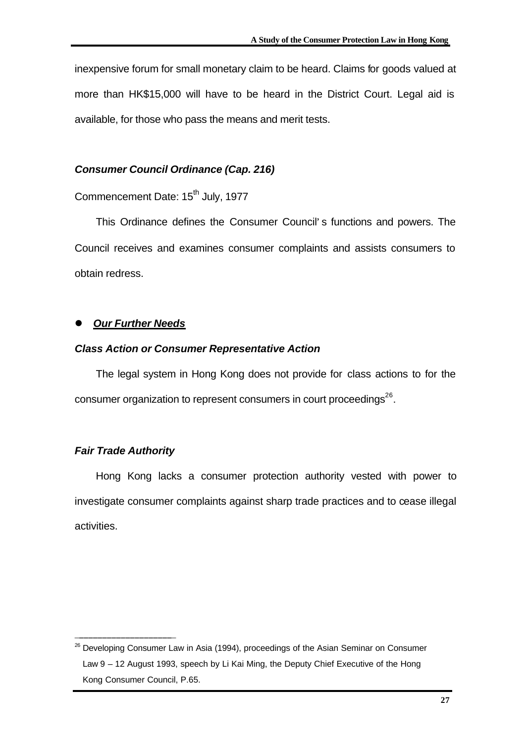inexpensive forum for small monetary claim to be heard. Claims for goods valued at more than HK\$15,000 will have to be heard in the District Court. Legal aid is available, for those who pass the means and merit tests.

### *Consumer Council Ordinance (Cap. 216)*

Commencement Date: 15<sup>th</sup> July, 1977

This Ordinance defines the Consumer Council's functions and powers. The Council receives and examines consumer complaints and assists consumers to obtain redress.

### l *Our Further Needs*

#### *Class Action or Consumer Representative Action*

The legal system in Hong Kong does not provide for class actions to for the consumer organization to represent consumers in court proceedings<sup>26</sup>.

### *Fair Trade Authority*

—————————————————————

Hong Kong lacks a consumer protection authority vested with power to investigate consumer complaints against sharp trade practices and to cease illegal activities.

<sup>&</sup>lt;sup>26</sup> Developing Consumer Law in Asia (1994), proceedings of the Asian Seminar on Consumer Law 9 – 12 August 1993, speech by Li Kai Ming, the Deputy Chief Executive of the Hong Kong Consumer Council, P.65.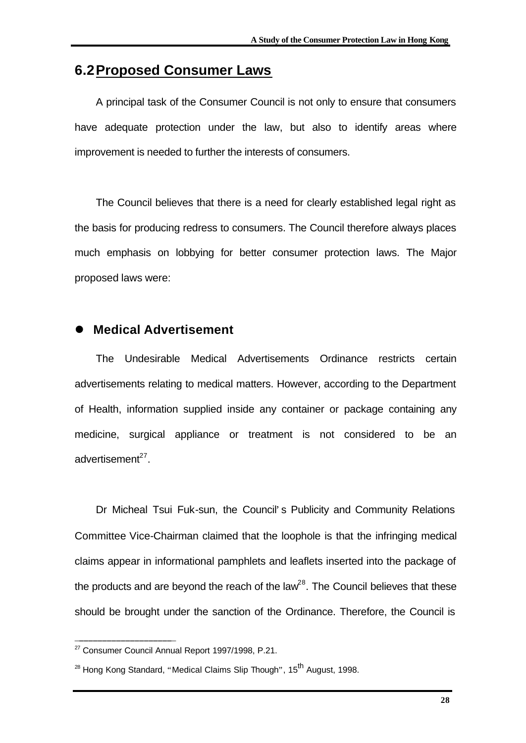## **6.2Proposed Consumer Laws**

A principal task of the Consumer Council is not only to ensure that consumers have adequate protection under the law, but also to identify areas where improvement is needed to further the interests of consumers.

The Council believes that there is a need for clearly established legal right as the basis for producing redress to consumers. The Council therefore always places much emphasis on lobbying for better consumer protection laws. The Major proposed laws were:

### l **Medical Advertisement**

The Undesirable Medical Advertisements Ordinance restricts certain advertisements relating to medical matters. However, according to the Department of Health, information supplied inside any container or package containing any medicine, surgical appliance or treatment is not considered to be an advertisement<sup>27</sup>.

Dr Micheal Tsui Fuk-sun, the Council's Publicity and Community Relations Committee Vice-Chairman claimed that the loophole is that the infringing medical claims appear in informational pamphlets and leaflets inserted into the package of the products and are beyond the reach of the  $law^{28}$ . The Council believes that these should be brought under the sanction of the Ordinance. Therefore, the Council is

<sup>&</sup>lt;sup>27</sup> Consumer Council Annual Report 1997/1998, P.21.

 $^{28}$  Hong Kong Standard, "Medical Claims Slip Though", 15<sup>th</sup> August, 1998.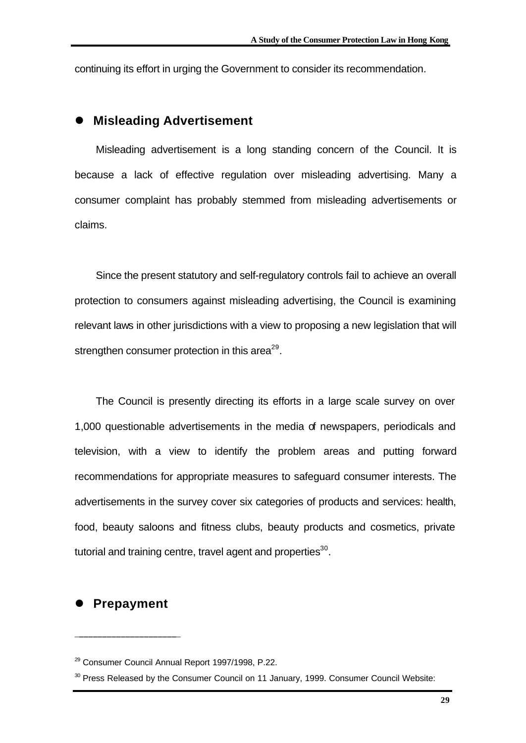continuing its effort in urging the Government to consider its recommendation.

### l **Misleading Advertisement**

Misleading advertisement is a long standing concern of the Council. It is because a lack of effective regulation over misleading advertising. Many a consumer complaint has probably stemmed from misleading advertisements or claims.

Since the present statutory and self-regulatory controls fail to achieve an overall protection to consumers against misleading advertising, the Council is examining relevant laws in other jurisdictions with a view to proposing a new legislation that will strengthen consumer protection in this area<sup>29</sup>.

The Council is presently directing its efforts in a large scale survey on over 1,000 questionable advertisements in the media of newspapers, periodicals and television, with a view to identify the problem areas and putting forward recommendations for appropriate measures to safeguard consumer interests. The advertisements in the survey cover six categories of products and services: health, food, beauty saloons and fitness clubs, beauty products and cosmetics, private tutorial and training centre, travel agent and properties $^{30}$ .

## **•** Prepayment

<sup>29</sup> Consumer Council Annual Report 1997/1998, P.22.

<sup>30</sup> Press Released by the Consumer Council on 11 January, 1999. Consumer Council Website: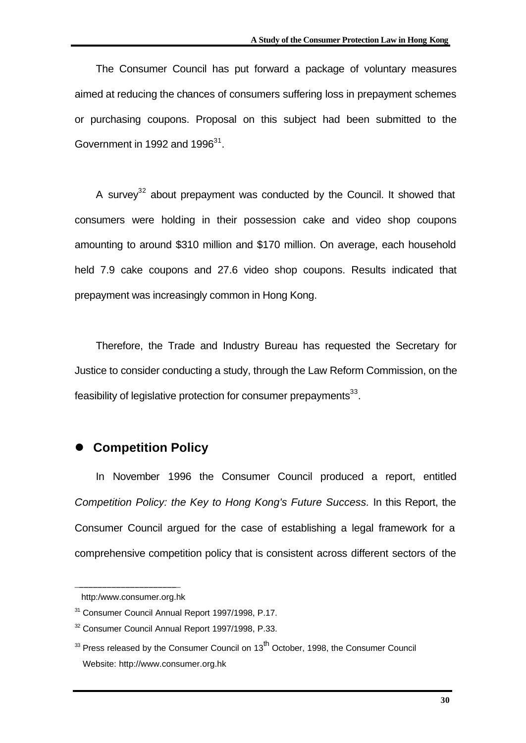The Consumer Council has put forward a package of voluntary measures aimed at reducing the chances of consumers suffering loss in prepayment schemes or purchasing coupons. Proposal on this subject had been submitted to the Government in 1992 and 1996 $^{31}$ .

A survey<sup>32</sup> about prepayment was conducted by the Council. It showed that consumers were holding in their possession cake and video shop coupons amounting to around \$310 million and \$170 million. On average, each household held 7.9 cake coupons and 27.6 video shop coupons. Results indicated that prepayment was increasingly common in Hong Kong.

Therefore, the Trade and Industry Bureau has requested the Secretary for Justice to consider conducting a study, through the Law Reform Commission, on the feasibility of legislative protection for consumer prepayments $^{33}$ .

## $\bullet$  Competition Policy

In November 1996 the Consumer Council produced a report, entitled *Competition Policy: the Key to Hong Kong's Future Success.* In this Report, the Consumer Council argued for the case of establishing a legal framework for a comprehensive competition policy that is consistent across different sectors of the

http:/www.consumer.org.hk

<sup>&</sup>lt;sup>31</sup> Consumer Council Annual Report 1997/1998, P.17.

<sup>32</sup> Consumer Council Annual Report 1997/1998, P.33.

 $33$  Press released by the Consumer Council on  $13<sup>th</sup>$  October, 1998, the Consumer Council Website: http://www.consumer.org.hk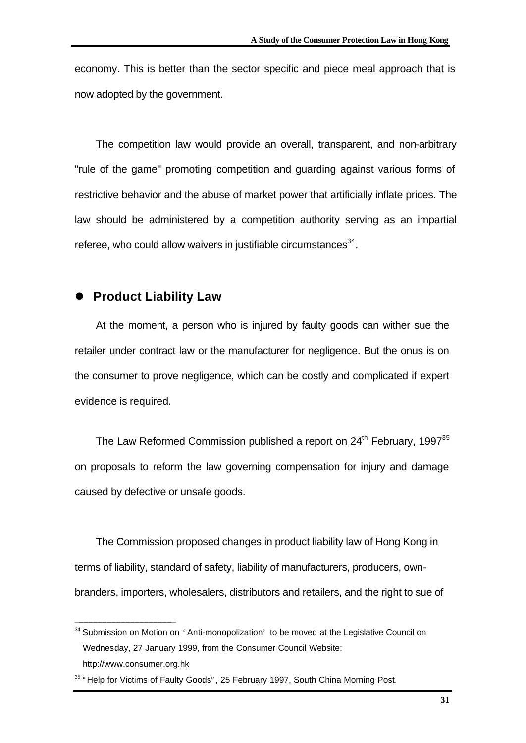economy. This is better than the sector specific and piece meal approach that is now adopted by the government.

The competition law would provide an overall, transparent, and non-arbitrary "rule of the game" promoting competition and guarding against various forms of restrictive behavior and the abuse of market power that artificially inflate prices. The law should be administered by a competition authority serving as an impartial referee, who could allow waivers in justifiable circumstances $^{34}$ .

## **• Product Liability Law**

—————————————————————

At the moment, a person who is injured by faulty goods can wither sue the retailer under contract law or the manufacturer for negligence. But the onus is on the consumer to prove negligence, which can be costly and complicated if expert evidence is required.

The Law Reformed Commission published a report on 24<sup>th</sup> February, 1997<sup>35</sup> on proposals to reform the law governing compensation for injury and damage caused by defective or unsafe goods.

The Commission proposed changes in product liability law of Hong Kong in terms of liability, standard of safety, liability of manufacturers, producers, ownbranders, importers, wholesalers, distributors and retailers, and the right to sue of

 $34$  Submission on Motion on 'Anti-monopolization' to be moved at the Legislative Council on Wednesday, 27 January 1999, from the Consumer Council Website: http://www.consumer.org.hk

<sup>&</sup>lt;sup>35</sup> "Help for Victims of Faulty Goods", 25 February 1997, South China Morning Post.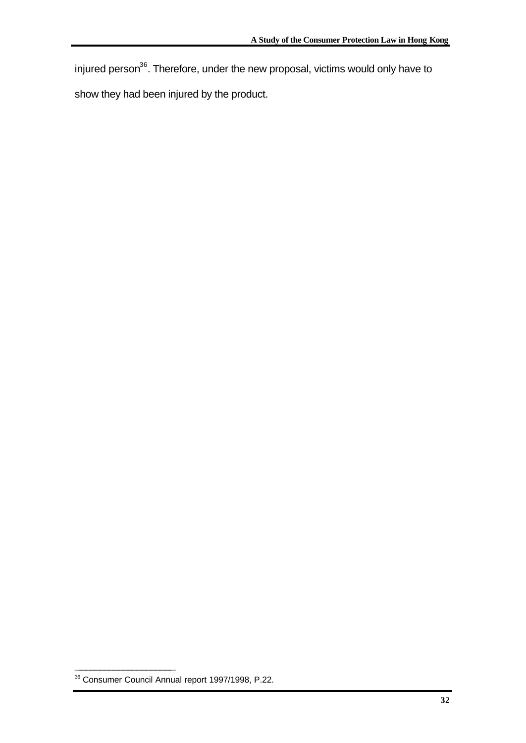injured person<sup>36</sup>. Therefore, under the new proposal, victims would only have to show they had been injured by the product.

<sup>—————————————————————</sup> <sup>36</sup> Consumer Council Annual report 1997/1998, P.22.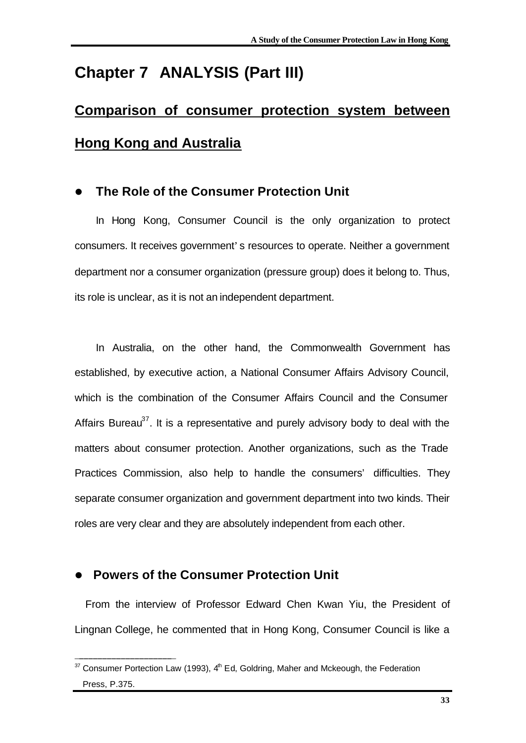#### **Chapter 7 ANALYSIS (Part III)**

#### **Comparison of consumer protection system between Hong Kong and Australia**

#### **The Role of the Consumer Protection Unit**

In Hong Kong, Consumer Council is the only organization to protect consumers. It receives government's resources to operate. Neither a government department nor a consumer organization (pressure group) does it belong to. Thus, its role is unclear, as it is not an independent department.

In Australia, on the other hand, the Commonwealth Government has established, by executive action, a National Consumer Affairs Advisory Council, which is the combination of the Consumer Affairs Council and the Consumer Affairs Bureau<sup>37</sup>. It is a representative and purely advisory body to deal with the matters about consumer protection. Another organizations, such as the Trade Practices Commission, also help to handle the consumers' difficulties. They separate consumer organization and government department into two kinds. Their roles are very clear and they are absolutely independent from each other.

#### **• Powers of the Consumer Protection Unit**

—————————————————————

 From the interview of Professor Edward Chen Kwan Yiu, the President of Lingnan College, he commented that in Hong Kong, Consumer Council is like a

 $37$  Consumer Portection Law (1993),  $4<sup>th</sup>$  Ed, Goldring, Maher and Mckeough, the Federation Press, P.375.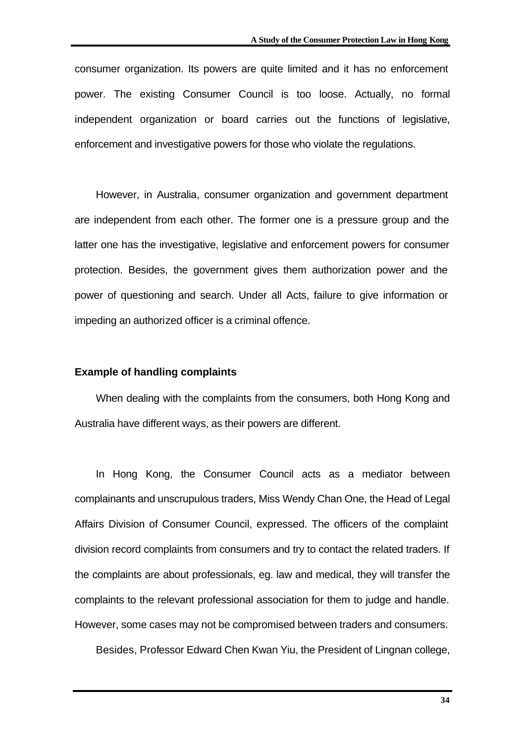consumer organization. Its powers are quite limited and it has no enforcement power. The existing Consumer Council is too loose. Actually, no formal independent organization or board carries out the functions of legislative, enforcement and investigative powers for those who violate the regulations.

However, in Australia, consumer organization and government department are independent from each other. The former one is a pressure group and the latter one has the investigative, legislative and enforcement powers for consumer protection. Besides, the government gives them authorization power and the power of questioning and search. Under all Acts, failure to give information or impeding an authorized officer is a criminal offence.

#### **Example of handling complaints**

When dealing with the complaints from the consumers, both Hong Kong and Australia have different ways, as their powers are different.

In Hong Kong, the Consumer Council acts as a mediator between complainants and unscrupulous traders, Miss Wendy Chan One, the Head of Legal Affairs Division of Consumer Council, expressed. The officers of the complaint division record complaints from consumers and try to contact the related traders. If the complaints are about professionals, eg. law and medical, they will transfer the complaints to the relevant professional association for them to judge and handle. However, some cases may not be compromised between traders and consumers.

Besides, Professor Edward Chen Kwan Yiu, the President of Lingnan college,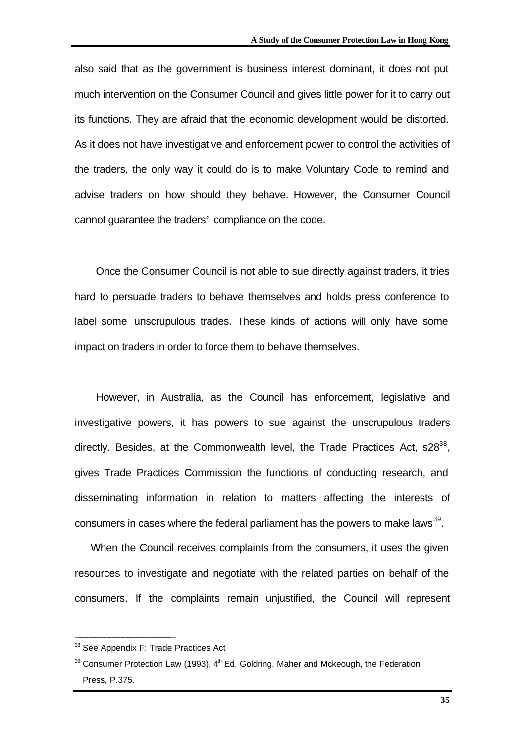also said that as the government is business interest dominant, it does not put much intervention on the Consumer Council and gives little power for it to carry out its functions. They are afraid that the economic development would be distorted. As it does not have investigative and enforcement power to control the activities of the traders, the only way it could do is to make Voluntary Code to remind and advise traders on how should they behave. However, the Consumer Council cannot guarantee the traders' compliance on the code.

Once the Consumer Council is not able to sue directly against traders, it tries hard to persuade traders to behave themselves and holds press conference to label some unscrupulous trades. These kinds of actions will only have some impact on traders in order to force them to behave themselves.

However, in Australia, as the Council has enforcement, legislative and investigative powers, it has powers to sue against the unscrupulous traders directly. Besides, at the Commonwealth level, the Trade Practices Act,  $s28^{38}$ , gives Trade Practices Commission the functions of conducting research, and disseminating information in relation to matters affecting the interests of consumers in cases where the federal parliament has the powers to make laws $^{39}$ .

When the Council receives complaints from the consumers, it uses the given resources to investigate and negotiate with the related parties on behalf of the consumers. If the complaints remain unjustified, the Council will represent

<sup>&</sup>lt;sup>38</sup> See Appendix F: Trade Practices Act

 $39$  Consumer Protection Law (1993),  $4<sup>th</sup>$  Ed, Goldring, Maher and Mckeough, the Federation Press, P.375.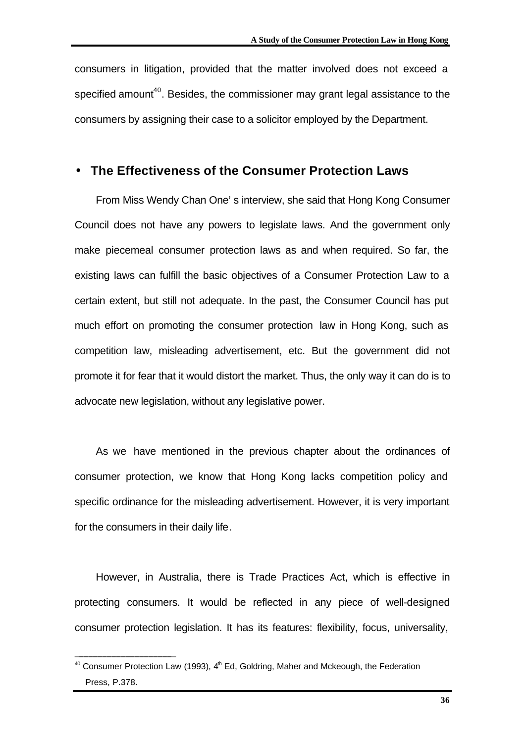consumers in litigation, provided that the matter involved does not exceed a specified amount<sup>40</sup>. Besides, the commissioner may grant legal assistance to the consumers by assigning their case to a solicitor employed by the Department.

#### • **The Effectiveness of the Consumer Protection Laws**

From Miss Wendy Chan One's interview, she said that Hong Kong Consumer Council does not have any powers to legislate laws. And the government only make piecemeal consumer protection laws as and when required. So far, the existing laws can fulfill the basic objectives of a Consumer Protection Law to a certain extent, but still not adequate. In the past, the Consumer Council has put much effort on promoting the consumer protection law in Hong Kong, such as competition law, misleading advertisement, etc. But the government did not promote it for fear that it would distort the market. Thus, the only way it can do is to advocate new legislation, without any legislative power.

As we have mentioned in the previous chapter about the ordinances of consumer protection, we know that Hong Kong lacks competition policy and specific ordinance for the misleading advertisement. However, it is very important for the consumers in their daily life.

However, in Australia, there is Trade Practices Act, which is effective in protecting consumers. It would be reflected in any piece of well-designed consumer protection legislation. It has its features: flexibility, focus, universality,

 $40$  Consumer Protection Law (1993),  $4<sup>th</sup>$  Ed, Goldring, Maher and Mckeough, the Federation Press, P.378.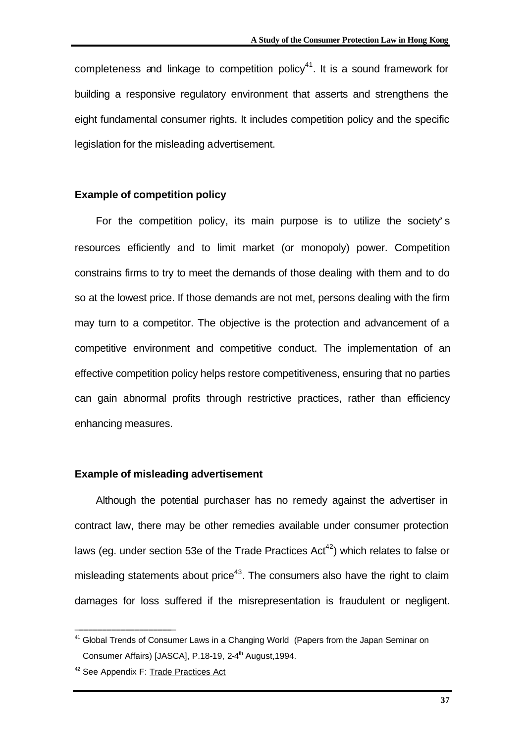completeness and linkage to competition policy $41$ . It is a sound framework for building a responsive regulatory environment that asserts and strengthens the eight fundamental consumer rights. It includes competition policy and the specific legislation for the misleading advertisement.

#### **Example of competition policy**

For the competition policy, its main purpose is to utilize the society's resources efficiently and to limit market (or monopoly) power. Competition constrains firms to try to meet the demands of those dealing with them and to do so at the lowest price. If those demands are not met, persons dealing with the firm may turn to a competitor. The objective is the protection and advancement of a competitive environment and competitive conduct. The implementation of an effective competition policy helps restore competitiveness, ensuring that no parties can gain abnormal profits through restrictive practices, rather than efficiency enhancing measures.

#### **Example of misleading advertisement**

Although the potential purchaser has no remedy against the advertiser in contract law, there may be other remedies available under consumer protection laws (eg. under section 53e of the Trade Practices  $Act^{42}$ ) which relates to false or misleading statements about price<sup>43</sup>. The consumers also have the right to claim damages for loss suffered if the misrepresentation is fraudulent or negligent.

<sup>&</sup>lt;sup>41</sup> Global Trends of Consumer Laws in a Changing World (Papers from the Japan Seminar on Consumer Affairs) [JASCA], P.18-19, 2-4<sup>th</sup> August, 1994.

<sup>42</sup> See Appendix F: Trade Practices Act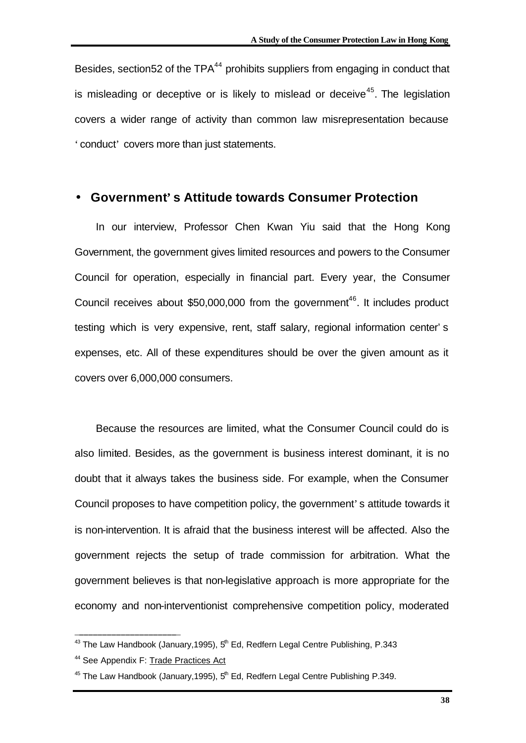Besides, section 52 of the  $TPA<sup>44</sup>$  prohibits suppliers from engaging in conduct that is misleading or deceptive or is likely to mislead or deceive<sup>45</sup>. The legislation covers a wider range of activity than common law misrepresentation because 'conduct' covers more than just statements.

#### • **Government's Attitude towards Consumer Protection**

In our interview, Professor Chen Kwan Yiu said that the Hong Kong Government, the government gives limited resources and powers to the Consumer Council for operation, especially in financial part. Every year, the Consumer Council receives about \$50,000,000 from the government<sup>46</sup>. It includes product testing which is very expensive, rent, staff salary, regional information center's expenses, etc. All of these expenditures should be over the given amount as it covers over 6,000,000 consumers.

Because the resources are limited, what the Consumer Council could do is also limited. Besides, as the government is business interest dominant, it is no doubt that it always takes the business side. For example, when the Consumer Council proposes to have competition policy, the government's attitude towards it is non-intervention. It is afraid that the business interest will be affected. Also the government rejects the setup of trade commission for arbitration. What the government believes is that non-legislative approach is more appropriate for the economy and non-interventionist comprehensive competition policy, moderated

 $43$  The Law Handbook (January, 1995),  $5<sup>th</sup>$  Ed, Redfern Legal Centre Publishing, P.343

<sup>44</sup> See Appendix F: Trade Practices Act

 $45$  The Law Handbook (January, 1995),  $5<sup>th</sup>$  Ed, Redfern Legal Centre Publishing P.349.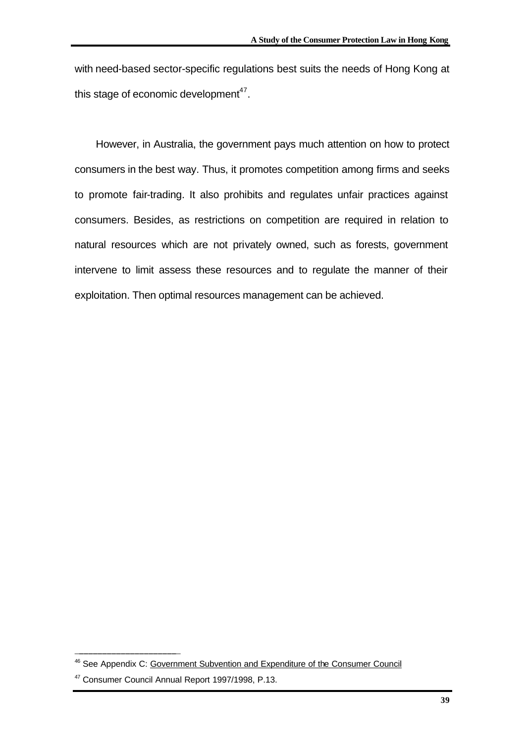with need-based sector-specific regulations best suits the needs of Hong Kong at this stage of economic development $^{47}$ .

However, in Australia, the government pays much attention on how to protect consumers in the best way. Thus, it promotes competition among firms and seeks to promote fair-trading. It also prohibits and regulates unfair practices against consumers. Besides, as restrictions on competition are required in relation to natural resources which are not privately owned, such as forests, government intervene to limit assess these resources and to regulate the manner of their exploitation. Then optimal resources management can be achieved.

<sup>&</sup>lt;sup>46</sup> See Appendix C: Government Subvention and Expenditure of the Consumer Council

<sup>47</sup> Consumer Council Annual Report 1997/1998, P.13.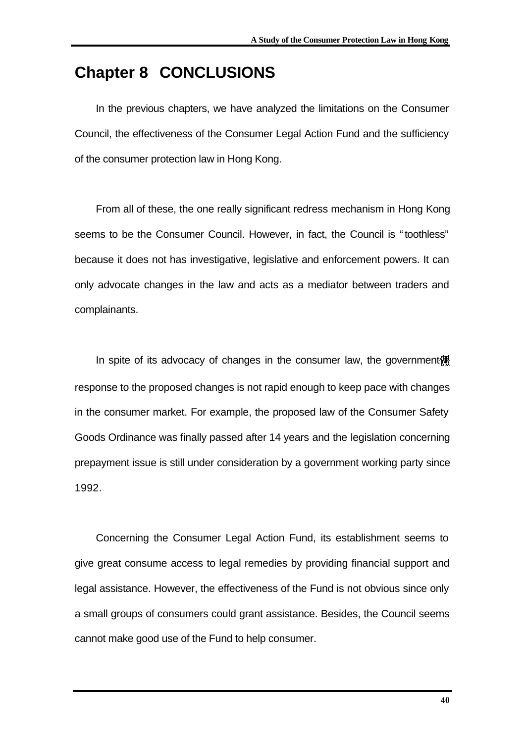#### **Chapter 8 CONCLUSIONS**

In the previous chapters, we have analyzed the limitations on the Consumer Council, the effectiveness of the Consumer Legal Action Fund and the sufficiency of the consumer protection law in Hong Kong.

From all of these, the one really significant redress mechanism in Hong Kong seems to be the Consumer Council. However, in fact, the Council is "toothless" because it does not has investigative, legislative and enforcement powers. It can only advocate changes in the law and acts as a mediator between traders and complainants.

In spite of its advocacy of changes in the consumer law, the government $\dddot{\mathbf{g}}$ response to the proposed changes is not rapid enough to keep pace with changes in the consumer market. For example, the proposed law of the Consumer Safety Goods Ordinance was finally passed after 14 years and the legislation concerning prepayment issue is still under consideration by a government working party since 1992.

Concerning the Consumer Legal Action Fund, its establishment seems to give great consume access to legal remedies by providing financial support and legal assistance. However, the effectiveness of the Fund is not obvious since only a small groups of consumers could grant assistance. Besides, the Council seems cannot make good use of the Fund to help consumer.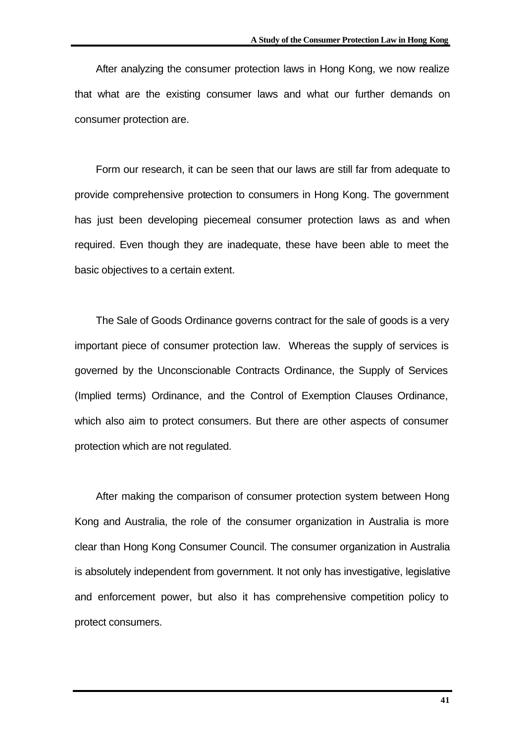After analyzing the consumer protection laws in Hong Kong, we now realize that what are the existing consumer laws and what our further demands on consumer protection are.

Form our research, it can be seen that our laws are still far from adequate to provide comprehensive protection to consumers in Hong Kong. The government has just been developing piecemeal consumer protection laws as and when required. Even though they are inadequate, these have been able to meet the basic objectives to a certain extent.

The Sale of Goods Ordinance governs contract for the sale of goods is a very important piece of consumer protection law. Whereas the supply of services is governed by the Unconscionable Contracts Ordinance, the Supply of Services (Implied terms) Ordinance, and the Control of Exemption Clauses Ordinance, which also aim to protect consumers. But there are other aspects of consumer protection which are not regulated.

After making the comparison of consumer protection system between Hong Kong and Australia, the role of the consumer organization in Australia is more clear than Hong Kong Consumer Council. The consumer organization in Australia is absolutely independent from government. It not only has investigative, legislative and enforcement power, but also it has comprehensive competition policy to protect consumers.

**41**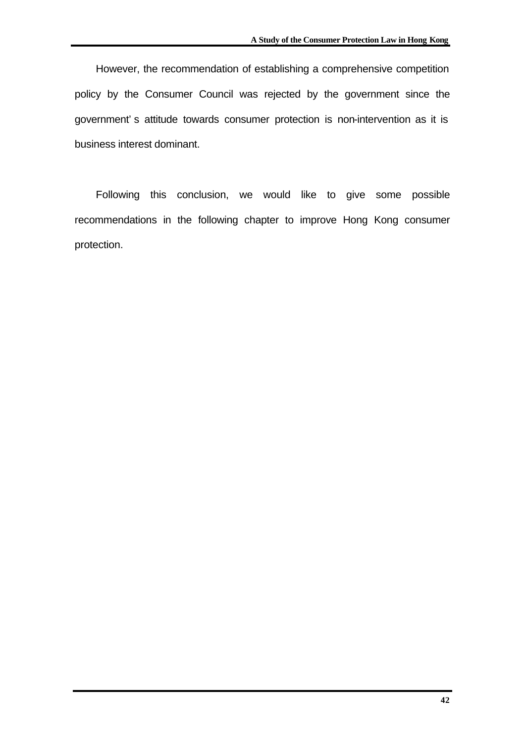However, the recommendation of establishing a comprehensive competition policy by the Consumer Council was rejected by the government since the government's attitude towards consumer protection is non-intervention as it is business interest dominant.

Following this conclusion, we would like to give some possible recommendations in the following chapter to improve Hong Kong consumer protection.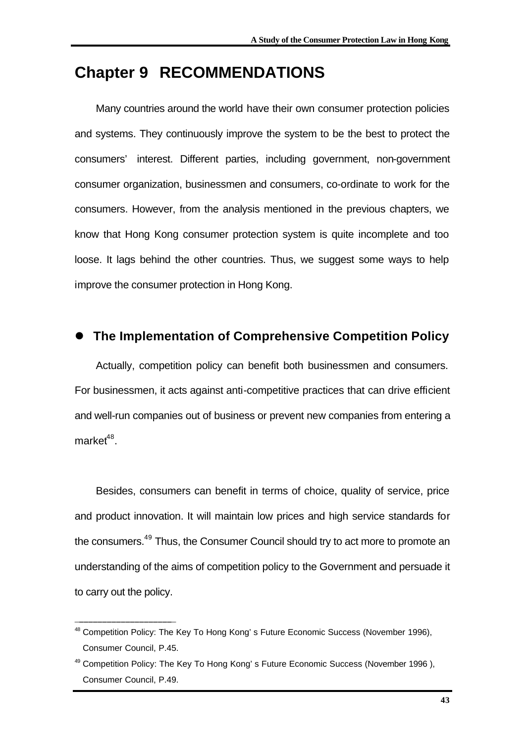#### **Chapter 9 RECOMMENDATIONS**

Many countries around the world have their own consumer protection policies and systems. They continuously improve the system to be the best to protect the consumers' interest. Different parties, including government, non-government consumer organization, businessmen and consumers, co-ordinate to work for the consumers. However, from the analysis mentioned in the previous chapters, we know that Hong Kong consumer protection system is quite incomplete and too loose. It lags behind the other countries. Thus, we suggest some ways to help improve the consumer protection in Hong Kong.

#### **The Implementation of Comprehensive Competition Policy**

Actually, competition policy can benefit both businessmen and consumers. For businessmen, it acts against anti-competitive practices that can drive efficient and well-run companies out of business or prevent new companies from entering a market $^{48}$ .

Besides, consumers can benefit in terms of choice, quality of service, price and product innovation. It will maintain low prices and high service standards for the consumers.<sup>49</sup> Thus, the Consumer Council should try to act more to promote an understanding of the aims of competition policy to the Government and persuade it to carry out the policy.

<sup>&</sup>lt;sup>48</sup> Competition Policy: The Key To Hong Kong's Future Economic Success (November 1996), Consumer Council, P.45.

<sup>49</sup> Competition Policy: The Key To Hong Kong's Future Economic Success (November 1996 ), Consumer Council, P.49.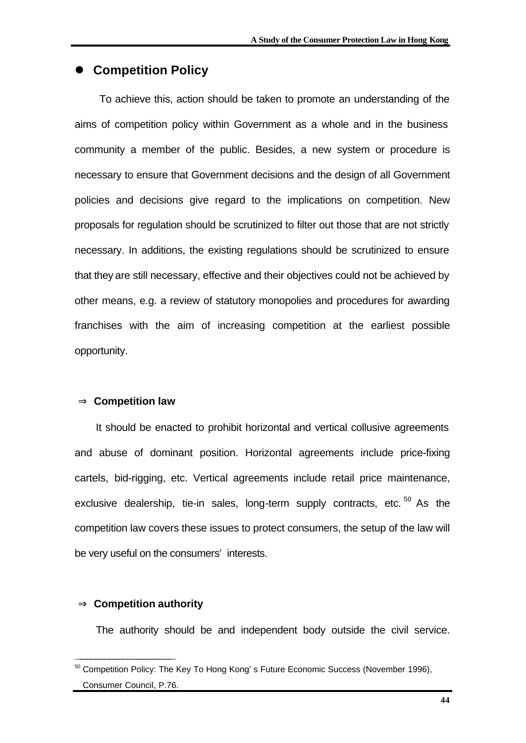#### **Competition Policy**

 To achieve this, action should be taken to promote an understanding of the aims of competition policy within Government as a whole and in the business community a member of the public. Besides, a new system or procedure is necessary to ensure that Government decisions and the design of all Government policies and decisions give regard to the implications on competition. New proposals for regulation should be scrutinized to filter out those that are not strictly necessary. In additions, the existing regulations should be scrutinized to ensure that they are still necessary, effective and their objectives could not be achieved by other means, e.g. a review of statutory monopolies and procedures for awarding franchises with the aim of increasing competition at the earliest possible opportunity.

#### ⇒ **Competition law**

It should be enacted to prohibit horizontal and vertical collusive agreements and abuse of dominant position. Horizontal agreements include price-fixing cartels, bid-rigging, etc. Vertical agreements include retail price maintenance, exclusive dealership, tie-in sales, long-term supply contracts, etc.  $50$  As the competition law covers these issues to protect consumers, the setup of the law will be very useful on the consumers' interests.

#### ⇒ **Competition authority**

—————————————————————

The authority should be and independent body outside the civil service.

<sup>&</sup>lt;sup>50</sup> Competition Policy: The Key To Hong Kong's Future Economic Success (November 1996), Consumer Council, P.76.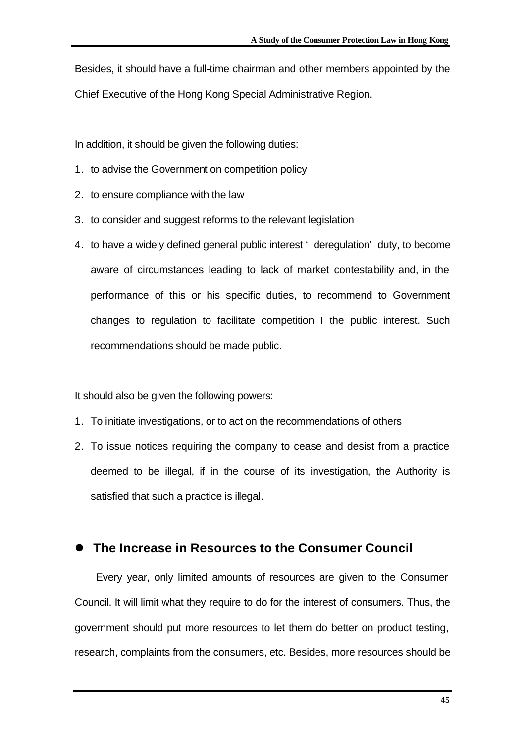Besides, it should have a full-time chairman and other members appointed by the Chief Executive of the Hong Kong Special Administrative Region.

In addition, it should be given the following duties:

- 1. to advise the Government on competition policy
- 2. to ensure compliance with the law
- 3. to consider and suggest reforms to the relevant legislation
- 4. to have a widely defined general public interest ' deregulation' duty, to become aware of circumstances leading to lack of market contestability and, in the performance of this or his specific duties, to recommend to Government changes to regulation to facilitate competition I the public interest. Such recommendations should be made public.

It should also be given the following powers:

- 1. To initiate investigations, or to act on the recommendations of others
- 2. To issue notices requiring the company to cease and desist from a practice deemed to be illegal, if in the course of its investigation, the Authority is satisfied that such a practice is illegal.

#### **• The Increase in Resources to the Consumer Council**

Every year, only limited amounts of resources are given to the Consumer Council. It will limit what they require to do for the interest of consumers. Thus, the government should put more resources to let them do better on product testing, research, complaints from the consumers, etc. Besides, more resources should be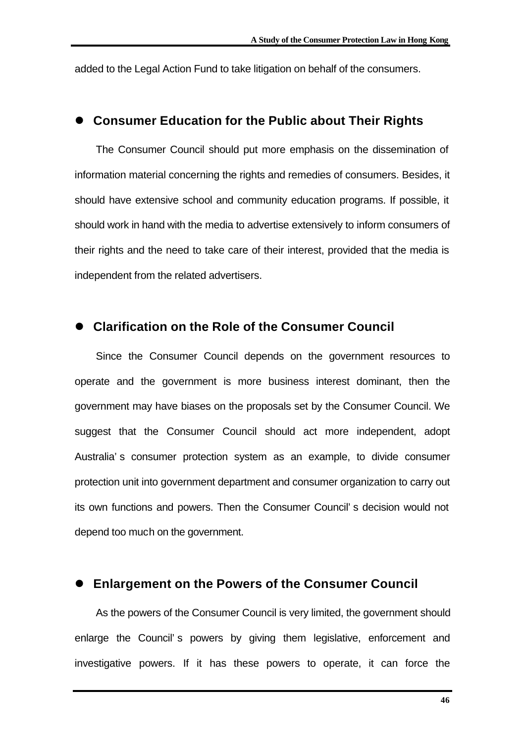added to the Legal Action Fund to take litigation on behalf of the consumers.

#### **• Consumer Education for the Public about Their Rights**

The Consumer Council should put more emphasis on the dissemination of information material concerning the rights and remedies of consumers. Besides, it should have extensive school and community education programs. If possible, it should work in hand with the media to advertise extensively to inform consumers of their rights and the need to take care of their interest, provided that the media is independent from the related advertisers.

#### **Clarification on the Role of the Consumer Council**

Since the Consumer Council depends on the government resources to operate and the government is more business interest dominant, then the government may have biases on the proposals set by the Consumer Council. We suggest that the Consumer Council should act more independent, adopt Australia's consumer protection system as an example, to divide consumer protection unit into government department and consumer organization to carry out its own functions and powers. Then the Consumer Council's decision would not depend too much on the government.

#### **• Enlargement on the Powers of the Consumer Council**

As the powers of the Consumer Council is very limited, the government should enlarge the Council's powers by giving them legislative, enforcement and investigative powers. If it has these powers to operate, it can force the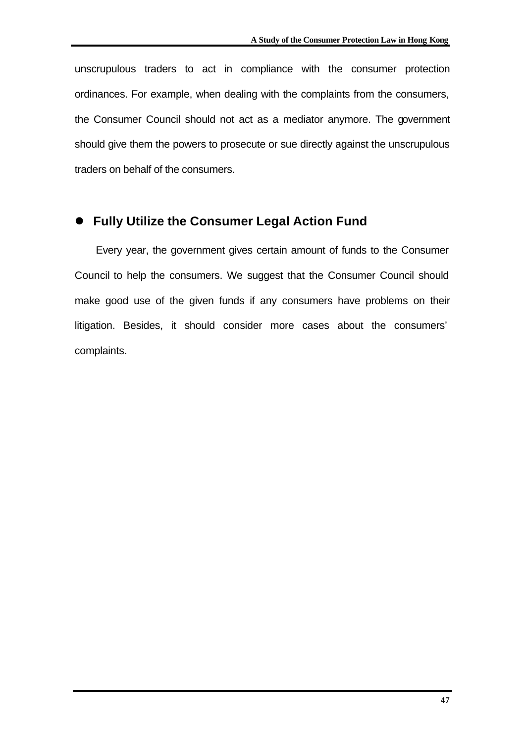unscrupulous traders to act in compliance with the consumer protection ordinances. For example, when dealing with the complaints from the consumers, the Consumer Council should not act as a mediator anymore. The government should give them the powers to prosecute or sue directly against the unscrupulous traders on behalf of the consumers.

#### **• Fully Utilize the Consumer Legal Action Fund**

Every year, the government gives certain amount of funds to the Consumer Council to help the consumers. We suggest that the Consumer Council should make good use of the given funds if any consumers have problems on their litigation. Besides, it should consider more cases about the consumers' complaints.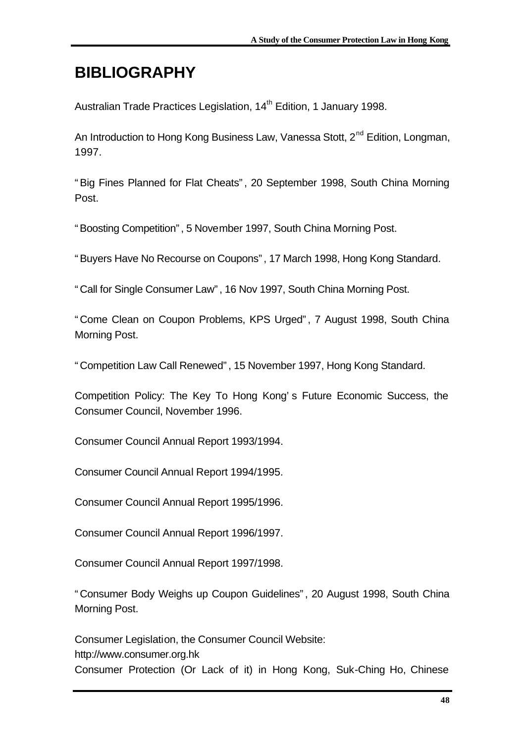#### **BIBLIOGRAPHY**

Australian Trade Practices Legislation, 14<sup>th</sup> Edition, 1 January 1998.

An Introduction to Hong Kong Business Law, Vanessa Stott,  $2^{nd}$  Edition, Longman, 1997.

"Big Fines Planned for Flat Cheats", 20 September 1998, South China Morning Post.

"Boosting Competition", 5 November 1997, South China Morning Post.

"Buyers Have No Recourse on Coupons", 17 March 1998, Hong Kong Standard.

"Call for Single Consumer Law", 16 Nov 1997, South China Morning Post.

"Come Clean on Coupon Problems, KPS Urged", 7 August 1998, South China Morning Post.

"Competition Law Call Renewed", 15 November 1997, Hong Kong Standard.

Competition Policy: The Key To Hong Kong's Future Economic Success, the Consumer Council, November 1996.

Consumer Council Annual Report 1993/1994.

Consumer Council Annual Report 1994/1995.

Consumer Council Annual Report 1995/1996.

Consumer Council Annual Report 1996/1997.

Consumer Council Annual Report 1997/1998.

"Consumer Body Weighs up Coupon Guidelines", 20 August 1998, South China Morning Post.

Consumer Legislation, the Consumer Council Website:

http://www.consumer.org.hk

Consumer Protection (Or Lack of it) in Hong Kong, Suk-Ching Ho, Chinese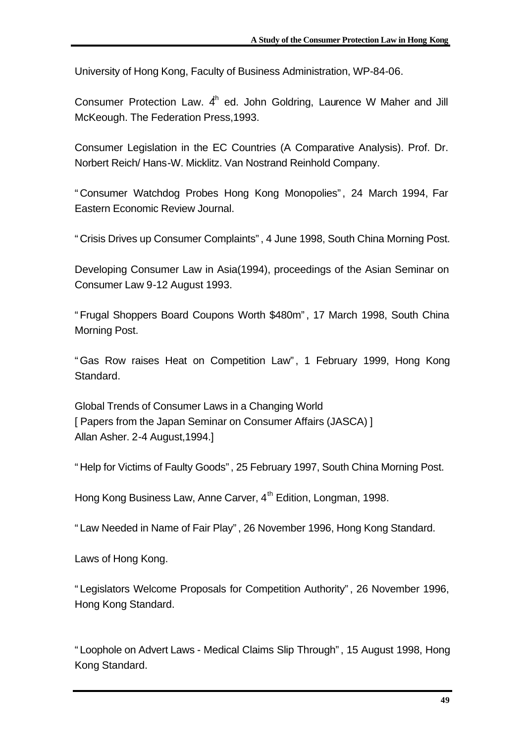University of Hong Kong, Faculty of Business Administration, WP-84-06.

Consumer Protection Law.  $4<sup>h</sup>$  ed. John Goldring, Laurence W Maher and Jill McKeough. The Federation Press,1993.

Consumer Legislation in the EC Countries (A Comparative Analysis). Prof. Dr. Norbert Reich/ Hans-W. Micklitz. Van Nostrand Reinhold Company.

"Consumer Watchdog Probes Hong Kong Monopolies", 24 March 1994, Far Eastern Economic Review Journal.

"Crisis Drives up Consumer Complaints", 4 June 1998, South China Morning Post.

Developing Consumer Law in Asia(1994), proceedings of the Asian Seminar on Consumer Law 9-12 August 1993.

"Frugal Shoppers Board Coupons Worth \$480m", 17 March 1998, South China Morning Post.

"Gas Row raises Heat on Competition Law", 1 February 1999, Hong Kong Standard.

Global Trends of Consumer Laws in a Changing World [ Papers from the Japan Seminar on Consumer Affairs (JASCA) ] Allan Asher. 2-4 August,1994.]

"Help for Victims of Faulty Goods", 25 February 1997, South China Morning Post.

Hong Kong Business Law, Anne Carver, 4<sup>th</sup> Edition, Longman, 1998.

"Law Needed in Name of Fair Play", 26 November 1996, Hong Kong Standard.

Laws of Hong Kong.

"Legislators Welcome Proposals for Competition Authority", 26 November 1996, Hong Kong Standard.

"Loophole on Advert Laws - Medical Claims Slip Through", 15 August 1998, Hong Kong Standard.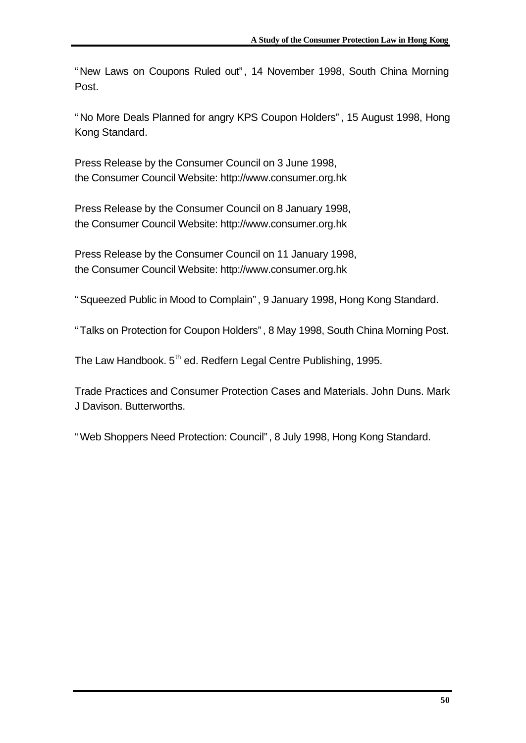"New Laws on Coupons Ruled out", 14 November 1998, South China Morning Post.

"No More Deals Planned for angry KPS Coupon Holders", 15 August 1998, Hong Kong Standard.

Press Release by the Consumer Council on 3 June 1998, the Consumer Council Website: http://www.consumer.org.hk

Press Release by the Consumer Council on 8 January 1998, the Consumer Council Website: http://www.consumer.org.hk

Press Release by the Consumer Council on 11 January 1998, the Consumer Council Website: http://www.consumer.org.hk

"Squeezed Public in Mood to Complain", 9 January 1998, Hong Kong Standard.

"Talks on Protection for Coupon Holders", 8 May 1998, South China Morning Post.

The Law Handbook. 5<sup>th</sup> ed. Redfern Legal Centre Publishing, 1995.

Trade Practices and Consumer Protection Cases and Materials. John Duns. Mark J Davison. Butterworths.

"Web Shoppers Need Protection: Council", 8 July 1998, Hong Kong Standard.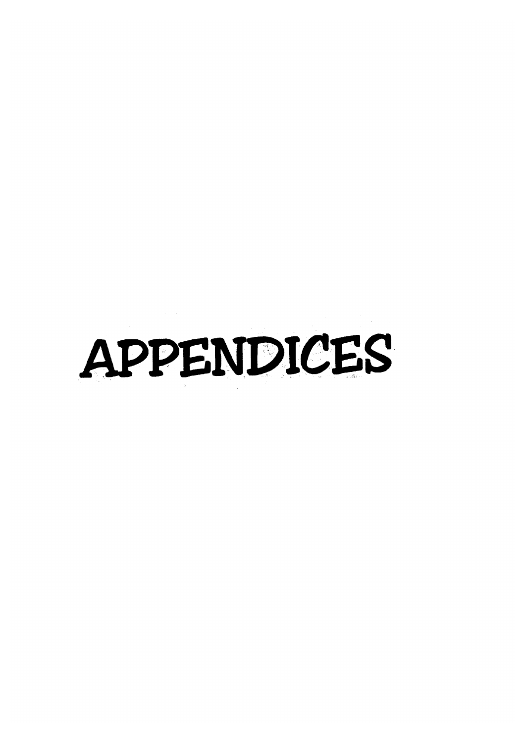## APPENDICES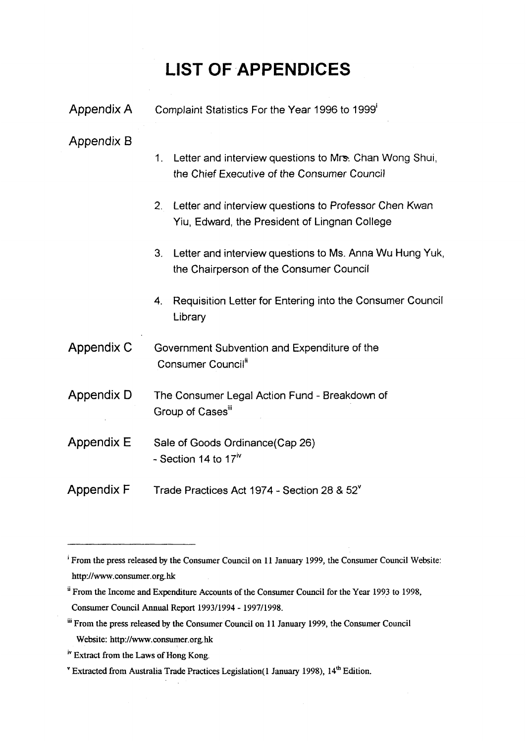#### **LIST OF APPENDICES**

| Appendix A        | Complaint Statistics For the Year 1996 to 1999'                                                              |  |  |
|-------------------|--------------------------------------------------------------------------------------------------------------|--|--|
| Appendix B        | Letter and interview questions to Mrs. Chan Wong Shui,<br>1.<br>the Chief Executive of the Consumer Council  |  |  |
|                   | Letter and interview questions to Professor Chen Kwan<br>2.<br>Yiu, Edward, the President of Lingnan College |  |  |
|                   | Letter and interview questions to Ms. Anna Wu Hung Yuk,<br>3.<br>the Chairperson of the Consumer Council     |  |  |
|                   | Requisition Letter for Entering into the Consumer Council<br>4.<br>Library                                   |  |  |
| Appendix C        | Government Subvention and Expenditure of the<br>Consumer Council <sup>ii</sup>                               |  |  |
| Appendix D        | The Consumer Legal Action Fund - Breakdown of<br>Group of Cases <sup>"</sup>                                 |  |  |
| <b>Appendix E</b> | Sale of Goods Ordinance (Cap 26)<br>- Section 14 to 17 $^{\prime\prime}$                                     |  |  |
| <b>Appendix F</b> | Trade Practices Act 1974 - Section 28 & 52                                                                   |  |  |

<sup>&</sup>lt;sup>i</sup> From the press released by the Consumer Council on 11 January 1999, the Consumer Council Website: http://www.consumer.org.hk

<sup>&</sup>quot; From the Income and Expenditure Accounts of the Consumer Council for the Year 1993 to 1998, Consumer Council Annual Report 1993/1994 - 1997/1998.

iii From the press released by the Consumer Council on 11 January 1999, the Consumer Council Website: http://www.consumer.org.hk

<sup>&</sup>lt;sup>iv</sup> Extract from the Laws of Hong Kong.

<sup>&</sup>lt;sup>v</sup> Extracted from Australia Trade Practices Legislation(1 January 1998), 14<sup>th</sup> Edition.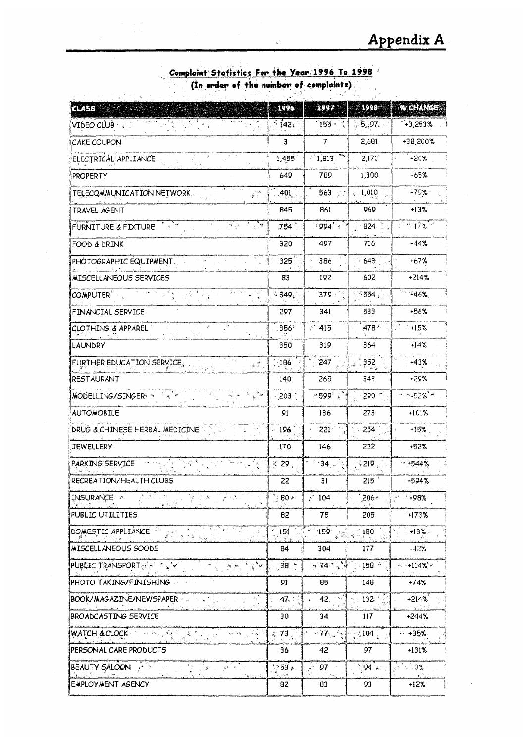| <b>CLASS</b>                                                                                                                                                                                                                                                                                                                                | 1996            | 1997                  | 1999                            | <b>BRICHANCE</b>                   |
|---------------------------------------------------------------------------------------------------------------------------------------------------------------------------------------------------------------------------------------------------------------------------------------------------------------------------------------------|-----------------|-----------------------|---------------------------------|------------------------------------|
| VIDEO CLUB · .                                                                                                                                                                                                                                                                                                                              | 42c             | `155 -                | 5,197.                          | $+3,253%$                          |
| CAKE COUPON                                                                                                                                                                                                                                                                                                                                 | э               | 7                     | 2.681                           | +38,200%                           |
| $\mathcal{L}$<br>ELECTRICĂL APPLIANCE                                                                                                                                                                                                                                                                                                       | 1,455           | 1,813                 | 2,171'                          | $+20%$                             |
| PROPERTY                                                                                                                                                                                                                                                                                                                                    | 649.            | 789                   | 1,300                           | +65%                               |
| TELECOMMUNICATION NETWORK<br>ු ව                                                                                                                                                                                                                                                                                                            | ,401            | $563$ $\rightarrow$   | $\sim 1,010$                    | $+79%$                             |
| TRAVEL AGENT                                                                                                                                                                                                                                                                                                                                | B45             | 861                   | 969                             | $+13%$                             |
| <b>FURNITURE &amp; FIXTURE 18</b><br>ತನ ಸ                                                                                                                                                                                                                                                                                                   | .754            | $994 -$               | $-824$                          | $-17\%$                            |
| FOOD & DRINK                                                                                                                                                                                                                                                                                                                                | 320             | 497                   | 716                             | $+44%$                             |
| PHOTOGRAPHIC EQUIPMENT.                                                                                                                                                                                                                                                                                                                     | 325             | 386                   | 643                             | +67%                               |
| MISCELLANEOUS SERVICES                                                                                                                                                                                                                                                                                                                      | 83              | 192                   | 602                             | +214%                              |
| $\overline{\mathcal{O}_{\mathcal{A}}\left(\mathcal{A}\right)}=\overline{\mathcal{O}_{\mathcal{A}}\left(\mathcal{A}\right)}=\overline{\mathcal{O}_{\mathcal{A}}\left(\mathcal{A}\right)}=\overline{\mathcal{O}_{\mathcal{A}}\left(\mathcal{A}\right)}=\overline{\mathcal{O}_{\mathcal{A}}\left(\mathcal{A}\right)}$<br>COMPUTER <sup>*</sup> | \$349.          | 379 -                 | . 554 ءَ                        | 446%                               |
| FINANCIAL SERVICE                                                                                                                                                                                                                                                                                                                           | 297             | 341                   | 533                             | $+56%$                             |
| $\mathcal{L}$<br>$\bullet$ .<br><br><br><br>-<br>CLOTHING & APPAREL                                                                                                                                                                                                                                                                         | .356≜           | $\therefore$ 415      | $478 -$                         | $\mathcal{A}^{\mathcal{A}}$<br>15% |
| LAUNDRY                                                                                                                                                                                                                                                                                                                                     | 350             | 319                   | 364                             | $+14%$                             |
| FURTHER EDUCATION SERVICE.<br>$\frac{1}{N}\left.\frac{S^2}{S}\right _{\mathcal{G}}$                                                                                                                                                                                                                                                         | 166             | 247                   | ុ352                            | $+43%$                             |
| <b>RESTAURANT</b>                                                                                                                                                                                                                                                                                                                           | 140             | 265                   | 343                             | +29%                               |
| MODELLING/SINGER = 's <sup>2</sup> "<br>$\pi/\sigma$<br>$m_1$ and $m_2$ and $m_3$                                                                                                                                                                                                                                                           | 203             | ਾ 599 ਵਿੱ             | -290                            | $-52%$                             |
| <b>AUTOMOBILE</b>                                                                                                                                                                                                                                                                                                                           | 91              | 136                   | 273                             | $+101\%$                           |
| DRUG & CHINESE HERBAL MEDICINE                                                                                                                                                                                                                                                                                                              | $-196$          | 221                   | 254                             | +15%                               |
| <b>JEWELLERY</b>                                                                                                                                                                                                                                                                                                                            | 170             | 146                   | 222                             | +52%                               |
| 가능함 시<br>PARKING SERVICE THE PARTIES<br>المهاجر المرادي                                                                                                                                                                                                                                                                                     | € 29.           | ొ34 బేడ               | ୍219 ୍                          | $*544%$                            |
| RECREATION/HEALTH CLUBS                                                                                                                                                                                                                                                                                                                     | 22              | 31                    | $215$ <sup><math>+</math></sup> | $+594%$                            |
| <b>INSURANCE</b><br>医上部 医外面                                                                                                                                                                                                                                                                                                                 | ្ងា 80 ⊁        | $\therefore$ 104      | 206.4                           | $\mu^4$<br>498%                    |
| PUBLIC UTILITIES                                                                                                                                                                                                                                                                                                                            | 82.             | 75                    | 205                             | $+173%$                            |
| DOMESTIC APPLIANCE                                                                                                                                                                                                                                                                                                                          | 151             | $159^{\circ}$         | 180                             | $+13%$                             |
| MISCELLANEOUS GOODS                                                                                                                                                                                                                                                                                                                         | 84              | 304                   | 177                             | $-42%$                             |
| PUBLIC TRANSPORT A MILE TO THE<br>$\sqrt{2}$                                                                                                                                                                                                                                                                                                | $30 -$          | $+74.7$               | $158$ $\degree$                 | $+114\%$                           |
| PHOTO TAKING/FINISHING                                                                                                                                                                                                                                                                                                                      | 91              | 85                    | 148                             | $+74%$                             |
| BOOK/MAGAZINE/NEWSPAPER<br>чý                                                                                                                                                                                                                                                                                                               | 47.             | 42.                   | $\sim$ 132 $\%$                 | $+214%$                            |
| <b>BROADCASTING SERVICE</b>                                                                                                                                                                                                                                                                                                                 | 30.             | 34                    | 117                             | +244%                              |
| <b>WATCH &amp; CLOCK</b><br>$\mathcal{L}^{(K)}$ , and                                                                                                                                                                                                                                                                                       | $\lesssim 73$ . | $\sim$ 77. $_{\odot}$ | ុះ្ន104 $\frac{1}{2}$           | $-35%$                             |
| PERSONAL CARE PRODUCTS                                                                                                                                                                                                                                                                                                                      | 36              | 42                    | 97                              | $+131%$                            |
| <b>BEAUTY SALOON</b><br>بالمتفهر                                                                                                                                                                                                                                                                                                            | ≥53 ⊁           | $\therefore$ 97       | : 94∞'                          | 3%                                 |
| <b>EMPLOYMENT AGENCY</b>                                                                                                                                                                                                                                                                                                                    | 82              | 83                    | 93                              | $+12%$                             |

#### Complaint Statistics For the Year 1996 To 1998<br>(In order of the number of complaints)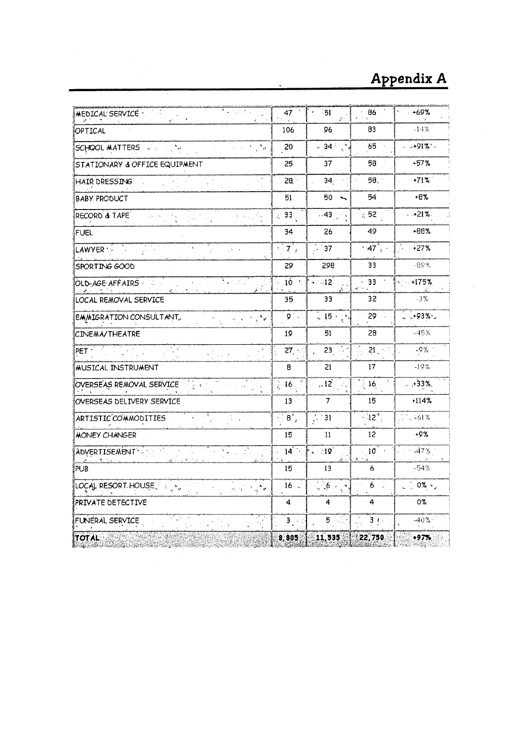#### Appendix A

| ちょうけいかい<br>MEDICAL SERVICE A PART                                                                                 | 47                                                               | - 51<br>٠ø.                | 86              | +69%          |
|-------------------------------------------------------------------------------------------------------------------|------------------------------------------------------------------|----------------------------|-----------------|---------------|
| OPTICAL                                                                                                           | 106                                                              | 96                         | 83              | $-142$        |
| SCHOOL MATTERS And the New<br>无论说                                                                                 | 20                                                               | - 34 - 14                  | 65              | $-191\%$      |
| STATIONARY & OFFICE EQUIPMENT                                                                                     | 25                                                               | 37                         | 58              | +57%          |
| HAIR DRESSING`                                                                                                    | 28. :                                                            | 34.                        | 58.             | $+71%$        |
| BABY PRODUCT                                                                                                      | 51                                                               | 50                         | 54              | +8%           |
| RECORD & TAPE<br>an kelurahan<br>Kabupatèn Ka                                                                     | $\approx$ 93                                                     | $~\sim$ 43 $~\sim$ $~\sim$ | ે કર્           | $-121\%$      |
| <b>FUEL</b>                                                                                                       | 34                                                               | 26                         | 49              | +88%          |
| $\mathsf{LAWYER} \subseteq \mathbb{R}$<br>$\frac{1}{\sqrt{2}}\sqrt{\frac{1}{4}\left(\frac{1}{2}\right)^{2}$<br>d. | $\sim$ 7 $_{\rm \star}$                                          | 137.                       | $47^\circ$ .    | $+27%$        |
| SPORTING GOOD                                                                                                     | 29                                                               | 298                        | 33              | $-89%$        |
| ನಿ. ಕನ್ನಡ ಸ<br>OLD-AGE AFFAIRS of the little<br>માં પશુ                                                           | $\pm 10^{-11}$                                                   | $-12.$<br>$\mathcal{A}$    | - 331           | $-175%$       |
| LOCAL REMOVAL SERVICE                                                                                             | 35                                                               | 33                         | 32              | $-3%$         |
| EMMIGRATION CONSULTANT.<br>$\sim$ $\times$ $\approx$ $\approx$ $\approx$                                          | <b>g</b>                                                         | $\sim 15 \times 10^{-4}$   | 291             | ્રે÷93%`્     |
| CINEMA/THEATRE                                                                                                    | 19                                                               | 51                         | 28              | $-45%$        |
| 33<br>PET :<br>e sina.<br>Ngjarje                                                                                 | $27 -$                                                           | $23 - 12$                  | $21 - 1$        | $-9%$ .       |
| <b>MUSICAL INSTRUMENT</b>                                                                                         | 8                                                                | 21                         | 17              | -19%          |
| OVERSEAS REMOVAL SERVICE                                                                                          | $\frac{1}{\lambda}$ 16 $\frac{3}{\lambda}$                       | $, 12^{^{\circ}}$          | $\approx 16$    | $+33%$        |
| OVERSEAS DELIVERY SERVICE                                                                                         | 13                                                               | 7                          | 15              | $+114%$       |
| ARTISTIC COMMODITIES                                                                                              | $\langle \begin{array}{c} \mathbf{B}^{\star}\end{array} \rangle$ | $\sim 31$                  | $\cdot$ 12 $^*$ | 5 T. 461%     |
| <b>MONEY CHANGER</b>                                                                                              | 15                                                               | 11                         | 12              | +9%           |
| ADVERTISEMENT WELL ASSESSED TO THE                                                                                | 14                                                               | ** 19.                     | $10^{\circ}$    | $-47%$        |
| PUB.                                                                                                              | 15                                                               | 13                         | 6               | $-54%$        |
| LOCAL RESORT HOUSE A LAU<br>ులు స <sup>ం</sup> శేశ                                                                | $16 -$                                                           | $\sim 6$ and $\sim$        |                 | $-0\%$ $\sim$ |
| PRIVATE DETECTIVE                                                                                                 | 4                                                                | 4                          | 4               | 0%            |
| FUNERAL SERVICE                                                                                                   | $\frac{1}{3}$                                                    | 5.                         | $3 +$           | -40%          |
| <b>TOTAL</b>                                                                                                      | 8,805                                                            | 11,535                     | 1.22.750        | $+97%$        |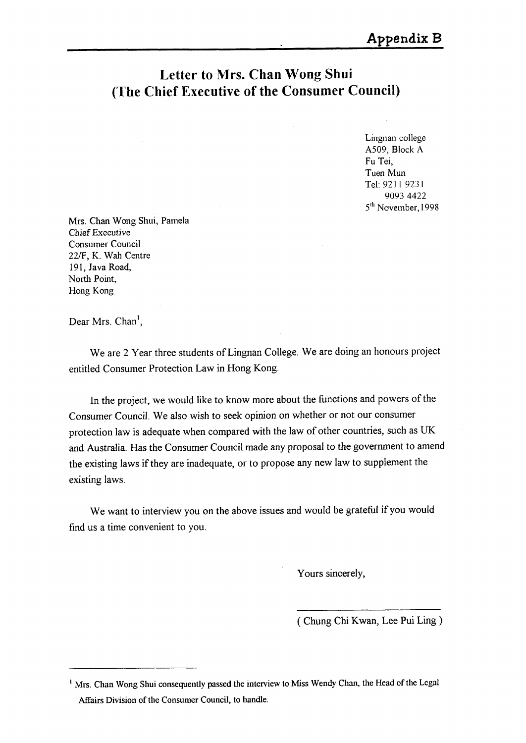#### **Letter to Mrs. Chan Wong Shui** (The Chief Executive of the Consumer Council)

Lingnan college A509, Block A Fu Tei. Tuen Mun Tel: 9211 9231 9093 4422 5<sup>th</sup> November, 1998

Mrs. Chan Wong Shui, Pamela **Chief Executive Consumer Council** 22/F, K. Wah Centre 191. Java Road. North Point, Hong Kong

Dear Mrs. Chan<sup>1</sup>,

We are 2 Year three students of Lingnan College. We are doing an honours project entitled Consumer Protection Law in Hong Kong.

In the project, we would like to know more about the functions and powers of the Consumer Council. We also wish to seek opinion on whether or not our consumer protection law is adequate when compared with the law of other countries, such as UK and Australia. Has the Consumer Council made any proposal to the government to amend the existing laws if they are inadequate, or to propose any new law to supplement the existing laws.

We want to interview you on the above issues and would be grateful if you would find us a time convenient to you.

Yours sincerely,

(Chung Chi Kwan, Lee Pui Ling)

<sup>&</sup>lt;sup>1</sup> Mrs. Chan Wong Shui consequently passed the interview to Miss Wendy Chan, the Head of the Legal Affairs Division of the Consumer Council, to handle.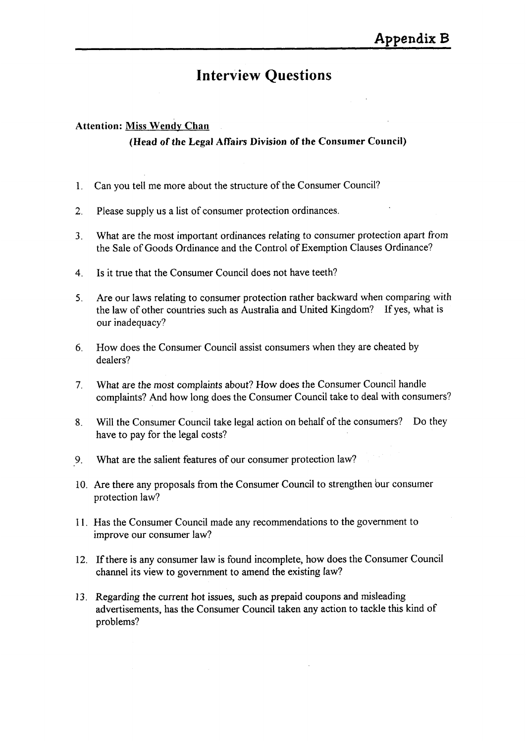#### **Interview Questions**

#### **Attention: Miss Wendy Chan**

#### (Head of the Legal Affairs Division of the Consumer Council)

- Can you tell me more about the structure of the Consumer Council?  $\mathbf{1}$ .
- Please supply us a list of consumer protection ordinances.  $\overline{2}$
- What are the most important ordinances relating to consumer protection apart from  $3<sub>1</sub>$ the Sale of Goods Ordinance and the Control of Exemption Clauses Ordinance?
- Is it true that the Consumer Council does not have teeth?  $4<sup>1</sup>$
- Are our laws relating to consumer protection rather backward when comparing with  $5<sub>1</sub>$ the law of other countries such as Australia and United Kingdom? If yes, what is our inadequacy?
- How does the Consumer Council assist consumers when they are cheated by 6. dealers?
- What are the most complaints about? How does the Consumer Council handle  $7<sub>1</sub>$ complaints? And how long does the Consumer Council take to deal with consumers?
- Will the Consumer Council take legal action on behalf of the consumers? Do they 8. have to pay for the legal costs?
- What are the salient features of our consumer protection law? 9.
- 10. Are there any proposals from the Consumer Council to strengthen our consumer protection law?
- 11. Has the Consumer Council made any recommendations to the government to improve our consumer law?
- 12. If there is any consumer law is found incomplete, how does the Consumer Council channel its view to government to amend the existing law?
- 13. Regarding the current hot issues, such as prepaid coupons and misleading advertisements, has the Consumer Council taken any action to tackle this kind of problems?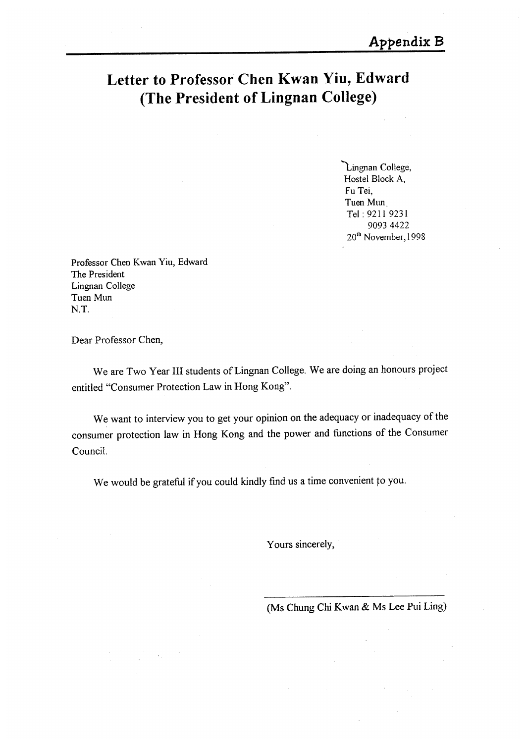#### Letter to Professor Chen Kwan Yiu, Edward (The President of Lingnan College)

Lingnan College, Hostel Block A, Fu Tei. Tuen Mun Tel: 9211 9231 9093 4422 20<sup>th</sup> November, 1998

Professor Chen Kwan Yiu, Edward The President Lingnan College Tuen Mun N.T.

Dear Professor Chen,

We are Two Year III students of Lingnan College. We are doing an honours project entitled "Consumer Protection Law in Hong Kong".

We want to interview you to get your opinion on the adequacy or inadequacy of the consumer protection law in Hong Kong and the power and functions of the Consumer Council.

We would be grateful if you could kindly find us a time convenient to you.

Yours sincerely,

(Ms Chung Chi Kwan & Ms Lee Pui Ling)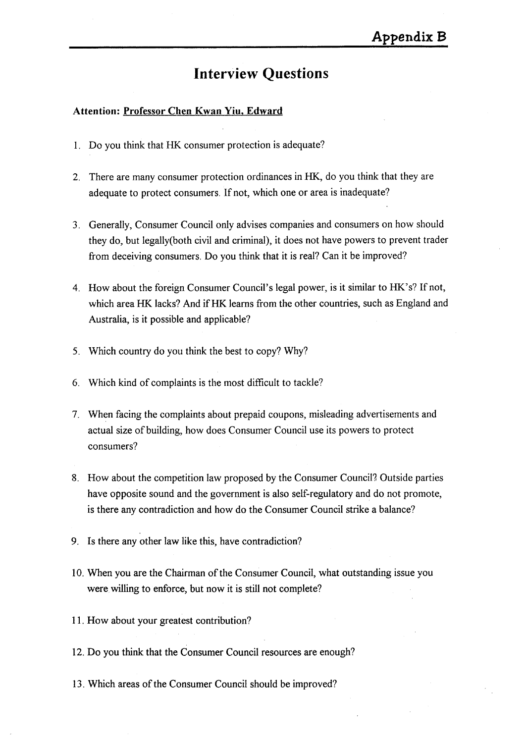#### **Interview Ouestions**

#### Attention: Professor Chen Kwan Yiu, Edward

- 1. Do you think that HK consumer protection is adequate?
- 2. There are many consumer protection ordinances in HK, do you think that they are adequate to protect consumers. If not, which one or area is inadequate?
- 3. Generally, Consumer Council only advises companies and consumers on how should they do, but legally (both civil and criminal), it does not have powers to prevent trader from deceiving consumers. Do you think that it is real? Can it be improved?
- 4. How about the foreign Consumer Council's legal power, is it similar to HK's? If not, which area HK lacks? And if HK learns from the other countries, such as England and Australia, is it possible and applicable?
- 5. Which country do you think the best to copy? Why?
- 6. Which kind of complaints is the most difficult to tackle?
- 7. When facing the complaints about prepaid coupons, misleading advertisements and actual size of building, how does Consumer Council use its powers to protect consumers?
- 8. How about the competition law proposed by the Consumer Council? Outside parties have opposite sound and the government is also self-regulatory and do not promote, is there any contradiction and how do the Consumer Council strike a balance?
- 9. Is there any other law like this, have contradiction?
- 10. When you are the Chairman of the Consumer Council, what outstanding issue you were willing to enforce, but now it is still not complete?
- 11. How about your greatest contribution?
- 12. Do you think that the Consumer Council resources are enough?
- 13. Which areas of the Consumer Council should be improved?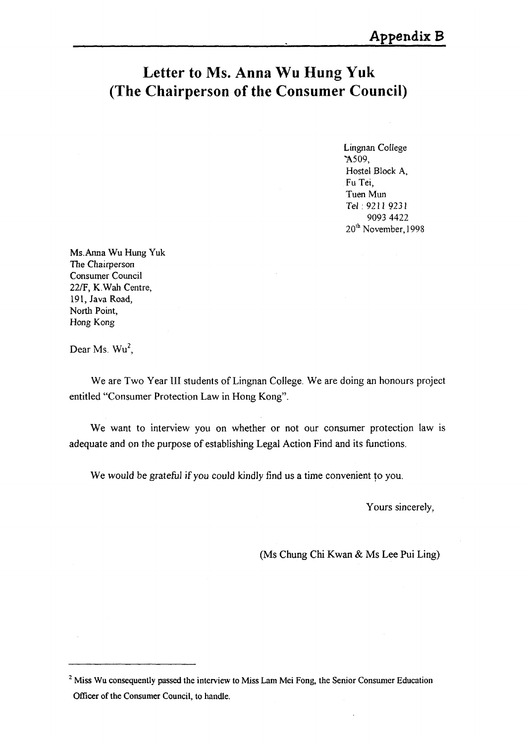#### Letter to Ms. Anna Wu Hung Yuk (The Chairperson of the Consumer Council)

**Lingnan College** A509, Hostel Block A. Fu Tei. Tuen Mun Tel: 9211 9231 9093 4422 20<sup>th</sup> November, 1998

Ms. Anna Wu Hung Yuk The Chairperson Consumer Council 22/F, K. Wah Centre, 191, Java Road, North Point, Hong Kong

Dear Ms.  $Wu^2$ ,

We are Two Year III students of Lingnan College. We are doing an honours project entitled "Consumer Protection Law in Hong Kong".

We want to interview you on whether or not our consumer protection law is adequate and on the purpose of establishing Legal Action Find and its functions.

We would be grateful if you could kindly find us a time convenient to you.

Yours sincerely,

(Ms Chung Chi Kwan & Ms Lee Pui Ling)

<sup>&</sup>lt;sup>2</sup> Miss Wu consequently passed the interview to Miss Lam Mei Fong, the Senior Consumer Education Officer of the Consumer Council, to handle.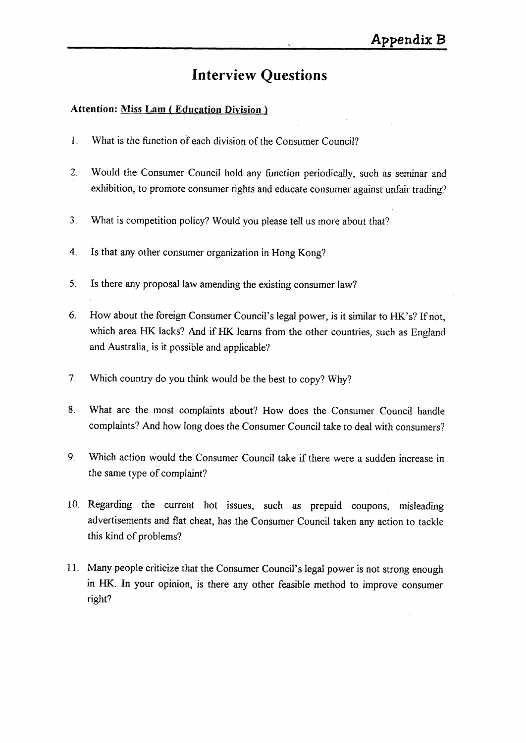#### **Interview Questions**

#### Attention: Miss Lam (Education Division)

- $\mathbf{1}$ . What is the function of each division of the Consumer Council?
- $2.$ Would the Consumer Council hold any function periodically, such as seminar and exhibition, to promote consumer rights and educate consumer against unfair trading?
- $3<sub>1</sub>$ What is competition policy? Would you please tell us more about that?
- $\overline{4}$ . Is that any other consumer organization in Hong Kong?
- $5<sub>1</sub>$ Is there any proposal law amending the existing consumer law?
- 6. How about the foreign Consumer Council's legal power, is it similar to HK's? If not, which area HK lacks? And if HK learns from the other countries, such as England and Australia, is it possible and applicable?
- $7<sub>1</sub>$ Which country do you think would be the best to copy? Why?
- What are the most complaints about? How does the Consumer Council handle  $8<sub>1</sub>$ complaints? And how long does the Consumer Council take to deal with consumers?
- $9<sub>1</sub>$ Which action would the Consumer Council take if there were a sudden increase in the same type of complaint?
- 10. Regarding the current hot issues, such as prepaid coupons, misleading advertisements and flat cheat, has the Consumer Council taken any action to tackle this kind of problems?
- 11. Many people criticize that the Consumer Council's legal power is not strong enough in HK. In your opinion, is there any other feasible method to improve consumer right?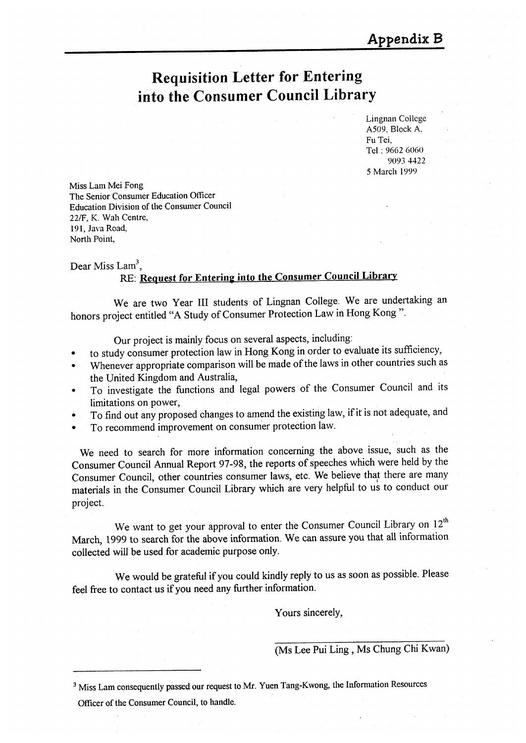#### **Requisition Letter for Entering** into the Consumer Council Library

Lingnan College A509. Block A. Fu Tei. Tel: 9662 6060 9093 4422 5 March 1999

Miss Lam Mei Fong The Senior Consumer Education Officer **Education Division of the Consumer Council** 22/F, K. Wah Centre, 191. Java Road, North Point.

Dear Miss Lam<sup>3</sup>,

#### RE: Request for Entering into the Consumer Council Library

We are two Year III students of Lingnan College. We are undertaking an honors project entitled "A Study of Consumer Protection Law in Hong Kong".

Our project is mainly focus on several aspects, including:

- to study consumer protection law in Hong Kong in order to evaluate its sufficiency,
- Whenever appropriate comparison will be made of the laws in other countries such as the United Kingdom and Australia,
- To investigate the functions and legal powers of the Consumer Council and its limitations on power,
- To find out any proposed changes to amend the existing law, if it is not adequate, and
- To recommend improvement on consumer protection law.

We need to search for more information concerning the above issue, such as the Consumer Council Annual Report 97-98, the reports of speeches which were held by the Consumer Council, other countries consumer laws, etc. We believe that there are many materials in the Consumer Council Library which are very helpful to us to conduct our project.

We want to get your approval to enter the Consumer Council Library on 12<sup>th</sup> March, 1999 to search for the above information. We can assure you that all information collected will be used for academic purpose only.

We would be grateful if you could kindly reply to us as soon as possible. Please feel free to contact us if you need any further information.

Yours sincerely,

(Ms Lee Pui Ling, Ms Chung Chi Kwan)

<sup>&</sup>lt;sup>3</sup> Miss Lam consequently passed our request to Mr. Yuen Tang-Kwong, the Information Resources Officer of the Consumer Council, to handle.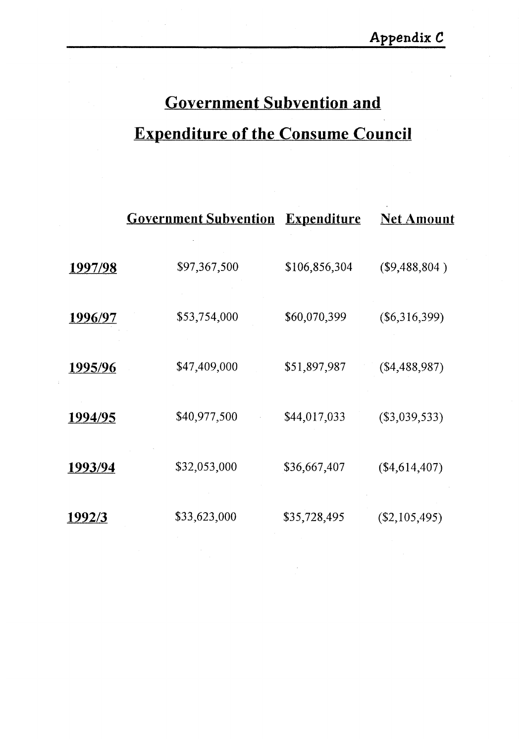#### **Government Subvention and Expenditure of the Consume Council**

|         | <b>Government Subvention</b> | <b>Expenditure</b> | <b>Net Amount</b> |
|---------|------------------------------|--------------------|-------------------|
| 1997/98 | \$97,367,500                 | \$106,856,304      | $(\$9,488,804)$   |
| 1996/97 | \$53,754,000                 | \$60,070,399       | $(\$6,316,399)$   |
| 1995/96 | \$47,409,000                 | \$51,897,987       | ( \$4,488,987)    |
| 1994/95 | \$40,977,500                 | \$44,017,033       | $(\$3,039,533)$   |
| 1993/94 | \$32,053,000                 | \$36,667,407       | $(\$4,614,407)$   |
| 1992/3  | \$33,623,000                 | \$35,728,495       | $(\$2,105,495)$   |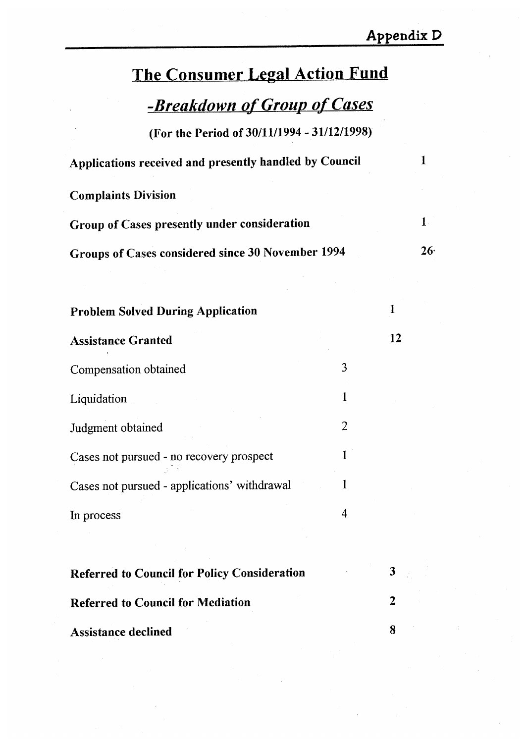| <b>The Consumer Legal Action Fund</b>                    |                |    |                 |
|----------------------------------------------------------|----------------|----|-----------------|
| -Breakdown of Group of Cases                             |                |    |                 |
| (For the Period of 30/11/1994 - 31/12/1998)              |                |    |                 |
| Applications received and presently handled by Council   |                |    |                 |
| <b>Complaints Division</b>                               |                |    |                 |
| Group of Cases presently under consideration             |                |    |                 |
| <b>Groups of Cases considered since 30 November 1994</b> |                |    | 26 <sup>·</sup> |
|                                                          |                |    |                 |
| <b>Problem Solved During Application</b>                 |                | 1  |                 |
| <b>Assistance Granted</b>                                |                | 12 |                 |
| Compensation obtained                                    | 3              |    |                 |
| Liquidation                                              |                |    |                 |
| Judgment obtained                                        | $\overline{2}$ |    |                 |
| Cases not pursued - no recovery prospect                 |                |    |                 |
| Cases not pursued - applications' withdrawal             |                |    |                 |
| In process                                               | 4              |    |                 |
|                                                          |                |    |                 |
| <b>Referred to Council for Policy Consideration</b>      |                | 3  |                 |
| <b>Referred to Council for Mediation</b>                 |                |    |                 |
| <b>Assistance declined</b>                               |                | 8  |                 |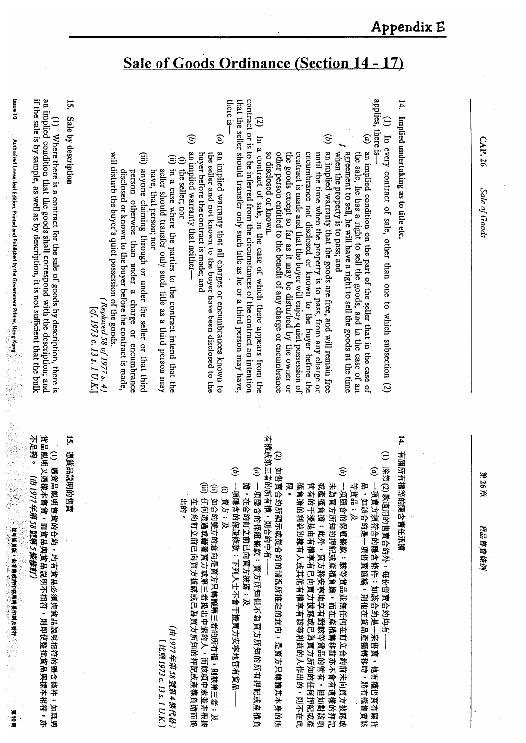CAP. 26 Sale of Good

> 第26章 貨品售賣條例

# 14. Implied undertaking as to title etc

14.

 $\oplus$ 

除第(2)款通用的售賣合約外,每份售賣合約均有

有關所有權等的隱含實任承擔

applies, there is-(1) In every contract of sale, other than one to which subsection  $(2)$ 

 $\mathcal{L}$ an implied condition on the part of the seller that in the case of when the property is to pass; and agreement to sell, he will have a right to sell the goods at the time the sale, he has a right to sell the goods, and in the case of an

 $\mathfrak{S}% _{A}^{\ast}(\mathbb{R}^{N})$ an implied warranty that the goods are free, and will remain free so disclosed or known. other person entitled to the benefit of any charge or encumbrance encumbrance not disclosed or known to the buyer before the until the time when the property is to pass, irom any charge or the goods except so far as it may be disturbed by the owner or contract is made and that the buyer will enjoy quiet possession of

contract or is to be inferred from the circumstances of the contract an intention that the seller should transfer only such title as he or a third person may have. there is- $\overline{c}$ In a contract of sale, in the case of which there appears from the

Sale of Goods Ordinance (Section 14 - 17)

- $\mathfrak{D}$ an implied warranty that all charges or encumbrances known to buyer before the contract is made; and the seller and not known to the buyer have been disclosed to the
- $\odot$ an unpited warranty that neither-
- the seller; nor
- (ii) in a case where the parties to the contract intend that the seller should transfer only such title as a third person may have, that person; nor
- (iii) anyone claiming through or under the seller or that third person otherwise than under a charge or encumbrance disclosed or known to the buyer before the contract is made.

will disturb the buyer's quiet possession of the goods. (Replaced 58 of 1977 s. 4)

[cf. 1973 c. 13 s. 1 U.K.]

## $\overline{5}$ Sale by description

an implied condition that the goods shall correspond with the description; and<br>if the sale is by sample, as well as by description, it is not sufficient that the bulk Where there is a contract for the sale of goods by description, there is

> 有權或第三者的所有權,則合約中有  $\mathcal{G}$  $\widehat{\mathfrak{S}}$ 如售賣合約所顯示或從合約的情況所推定的意向,是賣方只轉讓其本身的所  $\widehat{\mathcal{E}}$  $\mathfrak{D}$ € 一項隱含的保證條款:實方所知但不為買方所知的所有押記或產櫃負 一項寶方須符合的隱含條件:如該合約是一宗售寶,他有權售寶有關貨 一項隨含的保證條款:該等貨品並無任何在訂立合約前未向買方披露或 一項隨含的保證條款:下列人士不會干擾買方安寧地管有貨品 等貨品;及  $\widehat{\Xi}$ 摘,在合約訂立前已向買方披露;及 涵<br>。 **權負媠的利益的鏟有人或其他有權享有該等利益的人作岀的,則不在此** 管有的干擾是由有權享有已向買方披露或已為買方所知的任何押記或**產** 或產種負擠;此外,買方將安寧地享有對該等貨品的管有,但如對該項 未為買方所知的押記或產權負擔,而在產權轉移前亦不會有這樣的押記 品,如該合約是一項售賣協議,則他在貨品產權轉移時,將有權售賣該 Ξ (i) 賈方:及 **,如合約雙方的意向是賣方只轉讓第三者的所有權,則該第三者;及** 任何透過或藉着寶方或第三者提出申索的人,而該項申索並非根據 在合約訂立前已向買方披露或已為買方所知的押記或產權負擔而捉 田野。 (由1977年第58號第4條代替 し 比照 1973 c. 13 s. 1 U.K..

ì. 憑萯品說明的售翼

貨品説明又憑揉本售貨,而貨品與貨品説明不相符,則即使整批貨品與樣本相符,亦<br>不足夠。 (*由1977年第38號第5條修訂)* 

(1) 憑貨品說明售貨的合約,均有貨品必須與貨品說明相符的隱含條件;如既恶

Authorized Loose-leaf Edition, Printed and Published by the Government Printer, Hong Kong

"一张"

**。我可惜真诚,由香港改府中药局局民印度的及安行。"**<br>《文化》中,《文化》中,《文化》中,《文化》

、<br>縦01覧

at eussi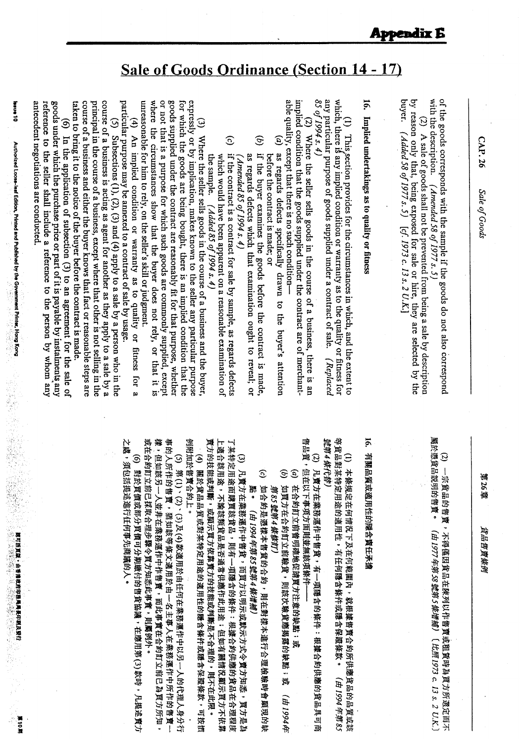with the description. (Amended 58 of 1977 s. 5) of the goods corresponds with the sample if the goods do not also correspond

buyer. (Added 58 of 1977 s. 5) [cf. 1973 c. 13 s. 2 U.K. by reason only that, being exposed for sale or hire, they are selected by the (2) A sale of goods shall not be prevented from being a sale by description

# 16. Implied undertakings as to quality or fitness

85 of 1994 s. 4, any particular purpose of goods supplied under a contract of sale. (Replacea which, there is any implied condition or warranty as to the quality or fitness for (1) This section provides for the circumstances in which, and the extent to

able quality, except that there is no such conditionimplied condition that the goods supplied under the contract are of merchant-(2) Where the seller sells goods in the course of a business, there is an

- $\mathfrak{g}$ as regards defects specifically drawn to the buyer's attention before the contract is made; or
- $\widehat{e}$ if the buyer examines the goods before the contract is made as regards defects which that examination ought to reveal; or  $(Amended 85 of 1994 s. 4)$

Sale of Goods Ordinance (Section 14 -

 $\widehat{\mathbb{C}}$ if the contract is a contract for sale by sample, as regards defects which would have been apparent on a reasonable examination of the sample. (Added 85 of 1994 s. 4)

where the circumstances show that the buyer does not rely, or that it is or not that is a purpose for which such goods are commonly supplied, except unreasonable for him to rely, on the seller's skill or judgment. goods supplied under the contract are reasonably fit for that purpose, whether expressly or by implication, makes known to the seller any particular purpose for which the goods are being bought, there is an implied condition that the (3) Where the seller sells goods in the course of a business and the buyer,

particular purpose may be annexed to a contract of sale by usage. (4) An implied condition or warranty as to quality or fitness for a

course of a business and either the buyer knows that fact or reasonable steps are taken to bring it to the notice of the buyer before the contract is made. principal in the course of a business, except where that other is not selling in the course of a business is acting as agent for another as they apply to a sale by a (5) Subsections (1), (2), (3) and (4) apply to a sale by a person who in the

antecedent negotiations are conducted. goods under which the purchase price or part of it is payable by instalments any reference to the seller shall include a reference to the person by whom any (6) In the application of subsection (3) to an agreement for the sale of

貨品售賣條例

第26章

屬於憑貨品説明的售賣。  $\mathfrak{D}$ 一宗貨品的售賣,不得僅因貨品在陳列以作售賣或租賃時為買方所選定而不 (由1977年第58號第5條增補) [比照1973 c. 13 s. 2 U.K.)

## 16. 有關品質或適用性的隱含實任承擔

等貨品對某特定用途的適用性,有任何隨含條件或隱含保證條款。 (*由1994年*第85 號第4條代替)  $\oplus$ 本條規定在何情況下及在何範圍內,就根據售賣合約所供應貨品的品質或該

售品質,但在以下事項方面則並無該項條件-凡賣方在業務運作中售貨,有一項隱含的條件:根據合約供應的貨品具可商

 $\widehat{e}$ 在合約訂立前曾明確地促請買方注意的缺點;或

 $\circledcirc$ 如買方在合約訂立前驗貨,則該次驗貨應揭露的缺點;或 中1994年

如合約是憑樣本售貨的合約,則在對樣本進行合理檢驗時會顯現的缺 第85號第4條修訂)

 $\widehat{\mathbb{C}}$ 群。 (由1994年第85號第4條增補)

實方的技能或判斷,或顯示買方依靠實方的技能或判斷是不合理的,則不在此限。 了某特定用途而蹲買該貨品,則有一項隱含的條件:根據合約供應的貨品在合理程度 上適合該用途,不論該類貨品是否通常供應作此用途;但如有關情況顯示買方不依靠  $\mathbf{\widehat{\omega}}$ 凡賣方在業務運作中售貨,而買方以明示或默示方式令賣方知悉,買方是為

例附加於售寶合約上。 (4) 關於貨品品質或對某特定用途的適用性的隱含條件或隱含保證條款,可按們

或在合約訂立前已採取合理步驟令買方知悉此事實,則屬例外。 樣,但如該另一人並非在業務運作中作售賣,而此事實在合約訂立前已為買方所知 事的人所作的售賣,猶如該等條文適用於由一名主事人在業務運作中所作的售賣一 (5) 第(1)、(2)、(3)及(4)款適用於由任何在業務運作中以另一人的代理人身分行

之處,須包括提述進行任何事先商議的人。 (6) 對於買價或部分買價可分期繳付的售貨協議,在應用第(3)款時,凡提述實方

(の) さいさい こうかん あいさん

認可活買証,由者港政府印務局馬手副及發行

第10期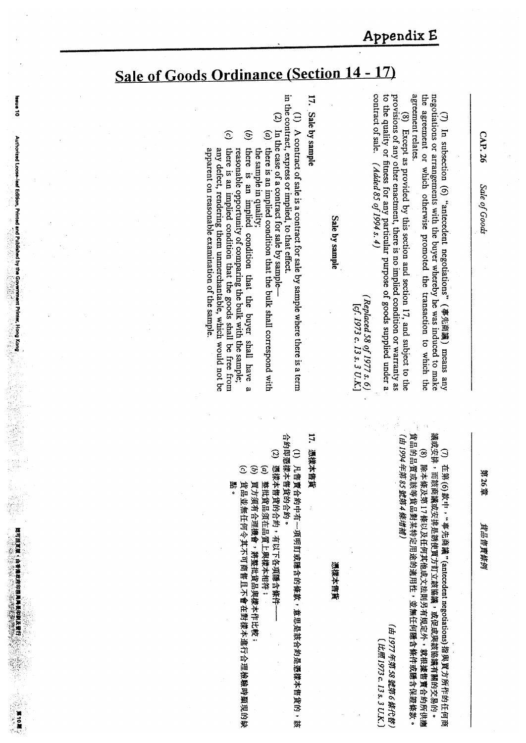agreement relates. the agreement or which otherwise promoted the transaction to which the negotiations or arrangements with the buyer whereby he was induced to make  $\odot$ In subsection (6) "antecedent negotiations" (事先商議) means any

contract of sale. (Added 85 of 1994 s. 4) provisions of any other enactment, there is no implied condition or warranty as to the quality or fitness for any particular purpose of goods supplied under a (8) Except as provided by this section and section 17, and subject to the

(Replaced 58 of 1977 s. 6) [cf. 1973 c. 13 s. 3 U.K.

## Sale by sample

### $11.$ Sale by sample

in the contract, express or implied, to that effect. (1) A contract of sale is a contract for sale by sample where there is a term

 $\odot$ In the case of a contract for sale by sample—

- (a) there is an implied condition that the bulk shall correspond with the sample in quality;
- $\widehat{\mathcal{E}}$ there is an implied condition that the buyer shall have a
- $\widehat{c}$ there is an implied condition that the goods shall be free from reasonable opportunity of comparing the bulk with the sample;
- apparent on reasonable examination of the sample. any defect, rendering them unmerchantable, which would not be

**D1.0018** 

Authorized Loose-leaf Edition, Printed and Published by the Government Printer, Hong Kong

腹可插頁離 t 由音推或拍印器局局黑印刷及键行 《》<br>第11日第11日看着改拍印器局局黑印刷及键行

**MOOR** 

第26章 貨品售賣條例

貨品的品質或該等貨品對某特定用途的適用性,並無任何隱含條件或隱含保證條款。 議或安排,而該商議或安排是誘使買方訂立該協議,或促成與該協議有關的交易的。 (8) 除本條及第17條以及任何其他成文法則另有規定外,就根據售賣合約所供應  $\Im$ 在第(6)款中,"事先商議"(antecedent negotiations)指與買方所作的任何商

(由1994年第85號第4條增補) (由1977年第58號第6條代替

[比照1973 c. 13 s. 3 U.K.]

## 憑樣本售貨

#### 17. 憑揉本售貨

合約即憑樣本售貨的合約。 (1) 凡售賣合約中有一項明訂或隱含的條款,意思是該合約是憑樣本售貨的,該

(2) 愿禄本售貨的合約,有以下各項隱含條件-

 $\mathbf{G}$ 整批貨品須在品質上與樣本相符;

 $\circledcirc$ 買方須有合理機會,將整批貨品與樣本作比較;

貨品並無任何令其不可商售且不會在對樣本進行合理檢驗時顯現的缺

聘。

 $\widehat{c}$ 

#### Sale of Goods Ordinance (Section 14 - $17)$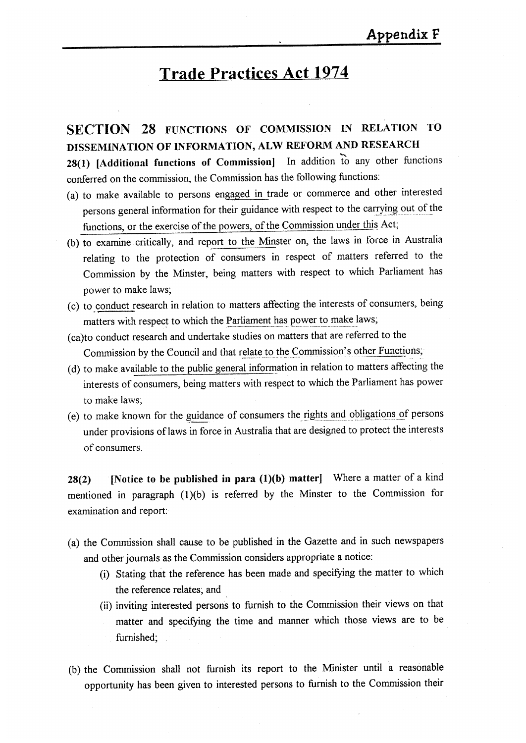#### **Trade Practices Act 1974**

#### SECTION 28 FUNCTIONS OF COMMISSION IN RELATION TO DISSEMINATION OF INFORMATION, ALW REFORM AND RESEARCH

28(1) [Additional functions of Commission] In addition to any other functions conferred on the commission, the Commission has the following functions:

- (a) to make available to persons engaged in trade or commerce and other interested persons general information for their guidance with respect to the carrying out of the functions, or the exercise of the powers, of the Commission under this Act;
- (b) to examine critically, and report to the Minster on, the laws in force in Australia relating to the protection of consumers in respect of matters referred to the Commission by the Minster, being matters with respect to which Parliament has power to make laws;
- (c) to conduct research in relation to matters affecting the interests of consumers, being matters with respect to which the Parliament has power to make laws;
- (ca)to conduct research and undertake studies on matters that are referred to the Commission by the Council and that relate to the Commission's other Functions;
- (d) to make available to the public general information in relation to matters affecting the interests of consumers, being matters with respect to which the Parliament has power to make laws;
- (e) to make known for the guidance of consumers the rights and obligations of persons under provisions of laws in force in Australia that are designed to protect the interests of consumers.

[Notice to be published in para (1)(b) matter] Where a matter of a kind  $28(2)$ mentioned in paragraph (1)(b) is referred by the Minster to the Commission for examination and report:

- (a) the Commission shall cause to be published in the Gazette and in such newspapers and other journals as the Commission considers appropriate a notice:
	- (i) Stating that the reference has been made and specifying the matter to which the reference relates; and
	- (ii) inviting interested persons to furnish to the Commission their views on that matter and specifying the time and manner which those views are to be furnished:
- (b) the Commission shall not furnish its report to the Minister until a reasonable opportunity has been given to interested persons to furnish to the Commission their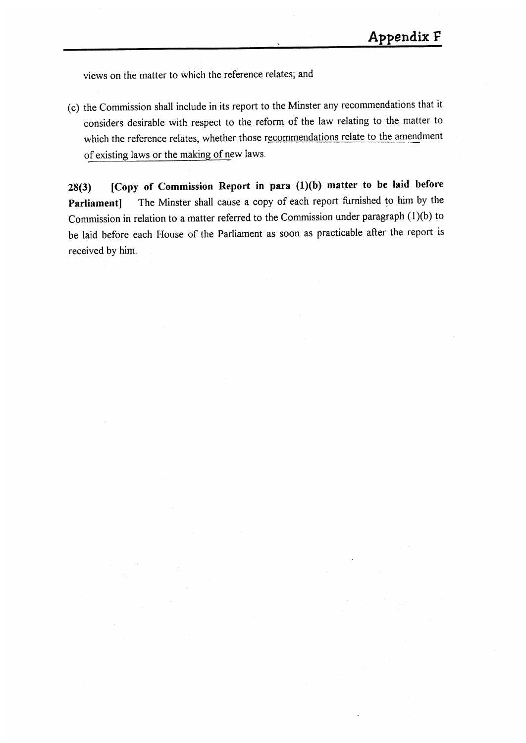views on the matter to which the reference relates; and

(c) the Commission shall include in its report to the Minster any recommendations that it considers desirable with respect to the reform of the law relating to the matter to which the reference relates, whether those recommendations relate to the amendment of existing laws or the making of new laws.

[Copy of Commission Report in para (1)(b) matter to be laid before  $28(3)$ The Minster shall cause a copy of each report furnished to him by the **Parliament**] Commission in relation to a matter referred to the Commission under paragraph (1)(b) to be laid before each House of the Parliament as soon as practicable after the report is received by him.